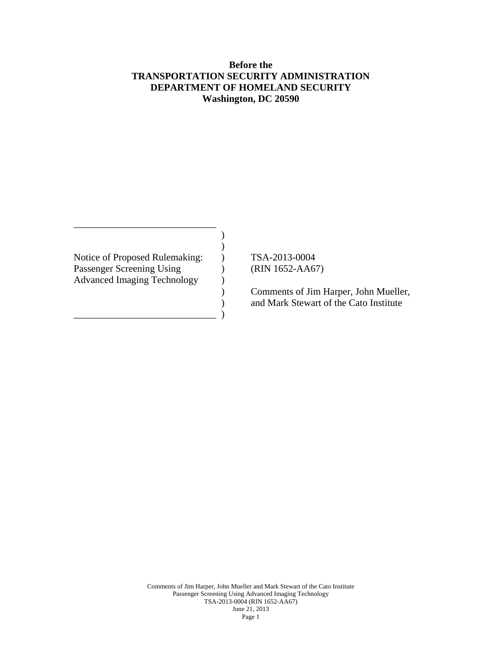# **Before the TRANSPORTATION SECURITY ADMINISTRATION DEPARTMENT OF HOMELAND SECURITY Washington, DC 20590**

 $)$ Notice of Proposed Rulemaking:  $\qquad$  TSA-2013-0004 Passenger Screening Using  $\overrightarrow{O}$  (RIN 1652-AA67) Advanced Imaging Technology  $\bigcup$ 

 $\qquad \qquad \qquad$ 

\_\_\_\_\_\_\_\_\_\_\_\_\_\_\_\_\_\_\_\_\_\_\_\_\_\_\_\_\_  $)$ 

 ) Comments of Jim Harper, John Mueller, ) and Mark Stewart of the Cato Institute

Comments of Jim Harper, John Mueller and Mark Stewart of the Cato Institute Passenger Screening Using Advanced Imaging Technology TSA-2013-0004 (RIN 1652-AA67) June 21, 2013 Page 1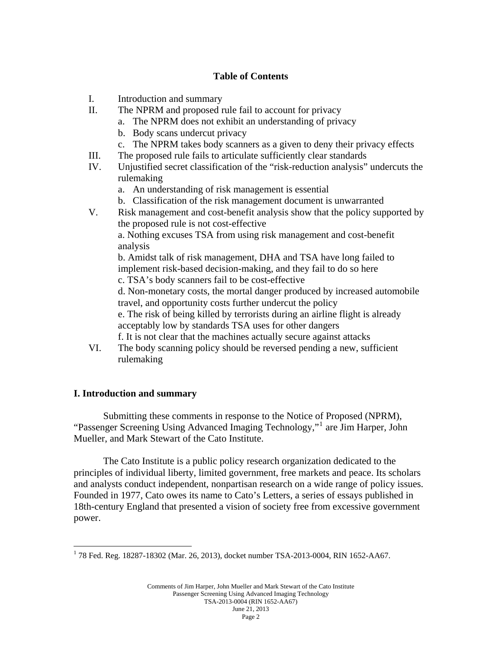# **Table of Contents**

- I. Introduction and summary
- II. The NPRM and proposed rule fail to account for privacy
	- a. The NPRM does not exhibit an understanding of privacy
	- b. Body scans undercut privacy
	- c. The NPRM takes body scanners as a given to deny their privacy effects
- III. The proposed rule fails to articulate sufficiently clear standards
- IV. Unjustified secret classification of the "risk-reduction analysis" undercuts the rulemaking
	- a. An understanding of risk management is essential
	- b. Classification of the risk management document is unwarranted
- V. Risk management and cost-benefit analysis show that the policy supported by the proposed rule is not cost-effective

a. Nothing excuses TSA from using risk management and cost-benefit analysis

b. Amidst talk of risk management, DHA and TSA have long failed to implement risk-based decision-making, and they fail to do so here c. TSA's body scanners fail to be cost-effective

d. Non-monetary costs, the mortal danger produced by increased automobile travel, and opportunity costs further undercut the policy

e. The risk of being killed by terrorists during an airline flight is already acceptably low by standards TSA uses for other dangers

f. It is not clear that the machines actually secure against attacks

VI. The body scanning policy should be reversed pending a new, sufficient rulemaking

# **I. Introduction and summary**

 Submitting these comments in response to the Notice of Proposed (NPRM), "Passenger Screening Using Advanced Imaging Technology,"<sup>[1](#page-1-0)</sup> are Jim Harper, John Mueller, and Mark Stewart of the Cato Institute.

 The Cato Institute is a public policy research organization dedicated to the principles of individual liberty, limited government, free markets and peace. Its scholars and analysts conduct independent, nonpartisan research on a wide range of policy issues. Founded in 1977, Cato owes its name to Cato's Letters, a series of essays published in 18th-century England that presented a vision of society free from excessive government power.

<span id="page-1-0"></span> $\overline{a}$ <sup>1</sup> 78 Fed. Reg. 18287-18302 (Mar. 26, 2013), docket number TSA-2013-0004, RIN 1652-AA67.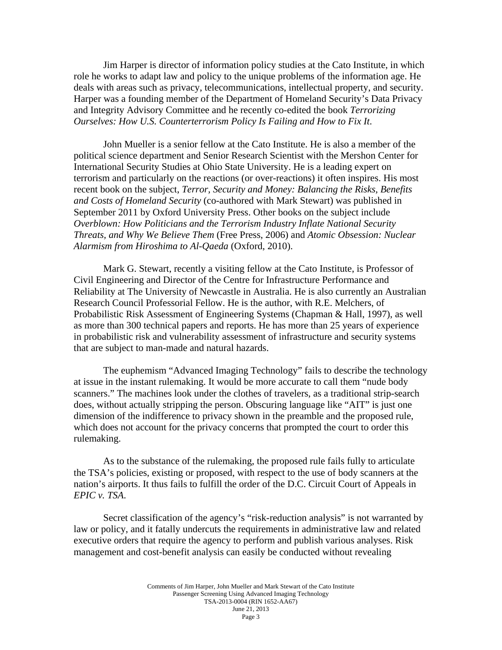Jim Harper is director of information policy studies at the Cato Institute, in which role he works to adapt law and policy to the unique problems of the information age. He deals with areas such as privacy, telecommunications, intellectual property, and security. Harper was a founding member of the Department of Homeland Security's Data Privacy and Integrity Advisory Committee and he recently co-edited the book *Terrorizing Ourselves: How U.S. Counterterrorism Policy Is Failing and How to Fix It*.

 John Mueller is a senior fellow at the Cato Institute. He is also a member of the political science department and Senior Research Scientist with the Mershon Center for International Security Studies at Ohio State University. He is a leading expert on terrorism and particularly on the reactions (or over-reactions) it often inspires. His most recent book on the subject, *Terror, Security and Money: Balancing the Risks, Benefits and Costs of Homeland Security* (co-authored with Mark Stewart) was published in September 2011 by Oxford University Press. Other books on the subject include *Overblown: How Politicians and the Terrorism Industry Inflate National Security Threats, and Why We Believe Them* (Free Press, 2006) and *Atomic Obsession: Nuclear Alarmism from Hiroshima to Al-Qaeda* (Oxford, 2010).

Mark G. Stewart, recently a visiting fellow at the Cato Institute, is Professor of Civil Engineering and Director of the Centre for Infrastructure Performance and Reliability at The University of Newcastle in Australia. He is also currently an Australian Research Council Professorial Fellow. He is the author, with R.E. Melchers, of Probabilistic Risk Assessment of Engineering Systems (Chapman & Hall, 1997), as well as more than 300 technical papers and reports. He has more than 25 years of experience in probabilistic risk and vulnerability assessment of infrastructure and security systems that are subject to man-made and natural hazards.

The euphemism "Advanced Imaging Technology" fails to describe the technology at issue in the instant rulemaking. It would be more accurate to call them "nude body scanners." The machines look under the clothes of travelers, as a traditional strip-search does, without actually stripping the person. Obscuring language like "AIT" is just one dimension of the indifference to privacy shown in the preamble and the proposed rule, which does not account for the privacy concerns that prompted the court to order this rulemaking.

As to the substance of the rulemaking, the proposed rule fails fully to articulate the TSA's policies, existing or proposed, with respect to the use of body scanners at the nation's airports. It thus fails to fulfill the order of the D.C. Circuit Court of Appeals in *EPIC v. TSA*.

Secret classification of the agency's "risk-reduction analysis" is not warranted by law or policy, and it fatally undercuts the requirements in administrative law and related executive orders that require the agency to perform and publish various analyses. Risk management and cost-benefit analysis can easily be conducted without revealing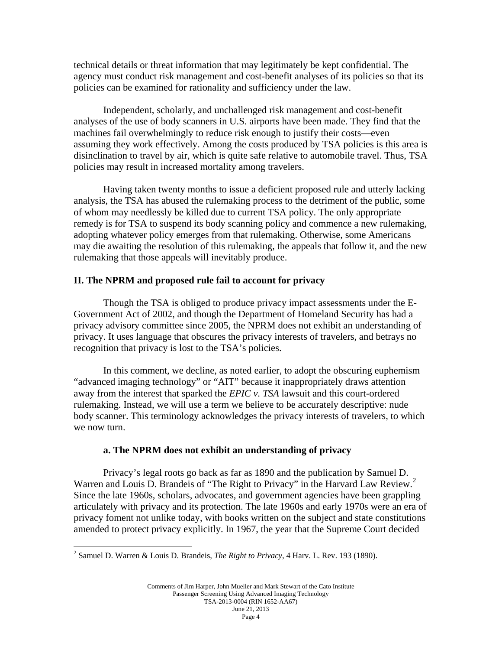technical details or threat information that may legitimately be kept confidential. The agency must conduct risk management and cost-benefit analyses of its policies so that its policies can be examined for rationality and sufficiency under the law.

Independent, scholarly, and unchallenged risk management and cost-benefit analyses of the use of body scanners in U.S. airports have been made. They find that the machines fail overwhelmingly to reduce risk enough to justify their costs—even assuming they work effectively. Among the costs produced by TSA policies is this area is disinclination to travel by air, which is quite safe relative to automobile travel. Thus, TSA policies may result in increased mortality among travelers.

Having taken twenty months to issue a deficient proposed rule and utterly lacking analysis, the TSA has abused the rulemaking process to the detriment of the public, some of whom may needlessly be killed due to current TSA policy. The only appropriate remedy is for TSA to suspend its body scanning policy and commence a new rulemaking, adopting whatever policy emerges from that rulemaking. Otherwise, some Americans may die awaiting the resolution of this rulemaking, the appeals that follow it, and the new rulemaking that those appeals will inevitably produce.

#### **II. The NPRM and proposed rule fail to account for privacy**

Though the TSA is obliged to produce privacy impact assessments under the E-Government Act of 2002, and though the Department of Homeland Security has had a privacy advisory committee since 2005, the NPRM does not exhibit an understanding of privacy. It uses language that obscures the privacy interests of travelers, and betrays no recognition that privacy is lost to the TSA's policies.

In this comment, we decline, as noted earlier, to adopt the obscuring euphemism "advanced imaging technology" or "AIT" because it inappropriately draws attention away from the interest that sparked the *EPIC v. TSA* lawsuit and this court-ordered rulemaking. Instead, we will use a term we believe to be accurately descriptive: nude body scanner. This terminology acknowledges the privacy interests of travelers, to which we now turn.

#### **a. The NPRM does not exhibit an understanding of privacy**

Privacy's legal roots go back as far as 1890 and the publication by Samuel D. Warren and Louis D. Brandeis of "The Right to Privacy" in the Harvard Law Review.<sup>[2](#page-3-0)</sup> Since the late 1960s, scholars, advocates, and government agencies have been grappling articulately with privacy and its protection. The late 1960s and early 1970s were an era of privacy foment not unlike today, with books written on the subject and state constitutions amended to protect privacy explicitly. In 1967, the year that the Supreme Court decided

Passenger Screening Using Advanced Imaging Technology

TSA-2013-0004 (RIN 1652-AA67) June 21, 2013

<span id="page-3-0"></span> 2 Samuel D. Warren & Louis D. Brandeis, *The Right to Privacy*, 4 Harv. L. Rev. 193 (1890).

Comments of Jim Harper, John Mueller and Mark Stewart of the Cato Institute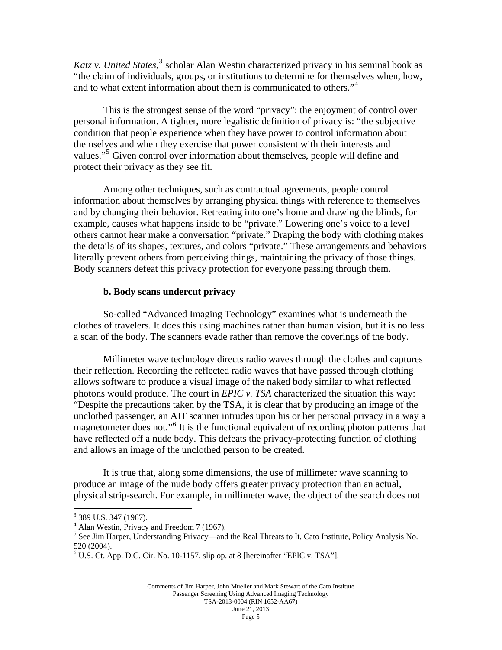Katz v. United States,<sup>[3](#page-4-0)</sup> scholar Alan Westin characterized privacy in his seminal book as "the claim of individuals, groups, or institutions to determine for themselves when, how, and to what extent information about them is communicated to others."[4](#page-4-1)

protect their privacy as they see fit. This is the strongest sense of the word "privacy": the enjoyment of control over personal information. A tighter, more legalistic definition of privacy is: "the subjective condition that people experience when they have power to control information about themselves and when they exercise that power consistent with their interests and values."<sup>[5](#page-4-2)</sup> Given control over information about themselves, people will define and

Among other techniques, such as contractual agreements, people control information about themselves by arranging physical things with reference to themselves and by changing their behavior. Retreating into one's home and drawing the blinds, for example, causes what happens inside to be "private." Lowering one's voice to a level others cannot hear make a conversation "private." Draping the body with clothing makes the details of its shapes, textures, and colors "private." These arrangements and behaviors literally prevent others from perceiving things, maintaining the privacy of those things. Body scanners defeat this privacy protection for everyone passing through them.

#### **b. Body scans undercut privacy**

So-called "Advanced Imaging Technology" examines what is underneath the clothes of travelers. It does this using machines rather than human vision, but it is no less a scan of the body. The scanners evade rather than remove the coverings of the body.

Millimeter wave technology directs radio waves through the clothes and captures their reflection. Recording the reflected radio waves that have passed through clothing allows software to produce a visual image of the naked body similar to what reflected photons would produce. The court in *EPIC v. TSA* characterized the situation this way: "Despite the precautions taken by the TSA, it is clear that by producing an image of the unclothed passenger, an AIT scanner intrudes upon his or her personal privacy in a way a magnetometer does not."<sup>[6](#page-4-3)</sup> It is the functional equivalent of recording photon patterns that have reflected off a nude body. This defeats the privacy-protecting function of clothing and allows an image of the unclothed person to be created.

It is true that, along some dimensions, the use of millimeter wave scanning to produce an image of the nude body offers greater privacy protection than an actual, physical strip-search. For example, in millimeter wave, the object of the search does not

Passenger Screening Using Advanced Imaging Technology

June 21, 2013

<sup>&</sup>lt;sup>3</sup> 389 U.S. 347 (1967).

<span id="page-4-1"></span><span id="page-4-0"></span><sup>&</sup>lt;sup>4</sup> Alan Westin, Privacy and Freedom 7 (1967).

<span id="page-4-2"></span><sup>&</sup>lt;sup>5</sup> See Jim Harper, Understanding Privacy—and the Real Threats to It, Cato Institute, Policy Analysis No. 520 (2004).

<span id="page-4-3"></span> $6$  U.S. Ct. App. D.C. Cir. No. 10-1157, slip op. at 8 [hereinafter "EPIC v. TSA"].

TSA-2013-0004 (RIN 1652-AA67)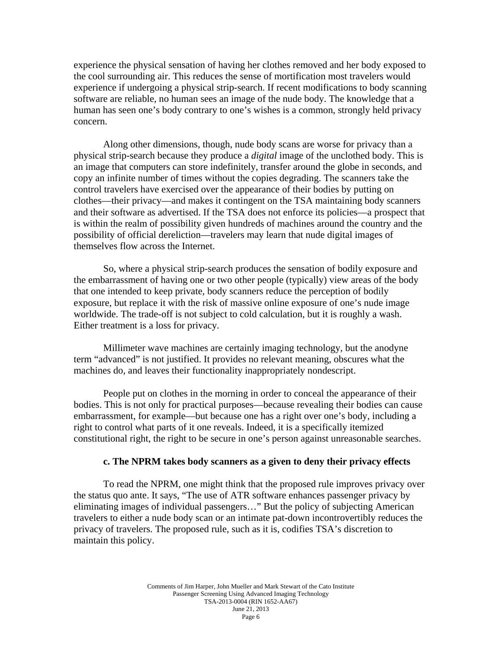experience the physical sensation of having her clothes removed and her body exposed to the cool surrounding air. This reduces the sense of mortification most travelers would experience if undergoing a physical strip-search. If recent modifications to body scanning software are reliable, no human sees an image of the nude body. The knowledge that a human has seen one's body contrary to one's wishes is a common, strongly held privacy concern.

Along other dimensions, though, nude body scans are worse for privacy than a physical strip-search because they produce a *digital* image of the unclothed body. This is an image that computers can store indefinitely, transfer around the globe in seconds, and copy an infinite number of times without the copies degrading. The scanners take the control travelers have exercised over the appearance of their bodies by putting on clothes—their privacy—and makes it contingent on the TSA maintaining body scanners and their software as advertised. If the TSA does not enforce its policies—a prospect that is within the realm of possibility given hundreds of machines around the country and the possibility of official dereliction—travelers may learn that nude digital images of themselves flow across the Internet.

So, where a physical strip-search produces the sensation of bodily exposure and the embarrassment of having one or two other people (typically) view areas of the body that one intended to keep private, body scanners reduce the perception of bodily exposure, but replace it with the risk of massive online exposure of one's nude image worldwide. The trade-off is not subject to cold calculation, but it is roughly a wash. Either treatment is a loss for privacy.

Millimeter wave machines are certainly imaging technology, but the anodyne term "advanced" is not justified. It provides no relevant meaning, obscures what the machines do, and leaves their functionality inappropriately nondescript.

People put on clothes in the morning in order to conceal the appearance of their bodies. This is not only for practical purposes—because revealing their bodies can cause embarrassment, for example—but because one has a right over one's body, including a right to control what parts of it one reveals. Indeed, it is a specifically itemized constitutional right, the right to be secure in one's person against unreasonable searches.

#### **c. The NPRM takes body scanners as a given to deny their privacy effects**

To read the NPRM, one might think that the proposed rule improves privacy over the status quo ante. It says, "The use of ATR software enhances passenger privacy by eliminating images of individual passengers…" But the policy of subjecting American travelers to either a nude body scan or an intimate pat-down incontrovertibly reduces the privacy of travelers. The proposed rule, such as it is, codifies TSA's discretion to maintain this policy.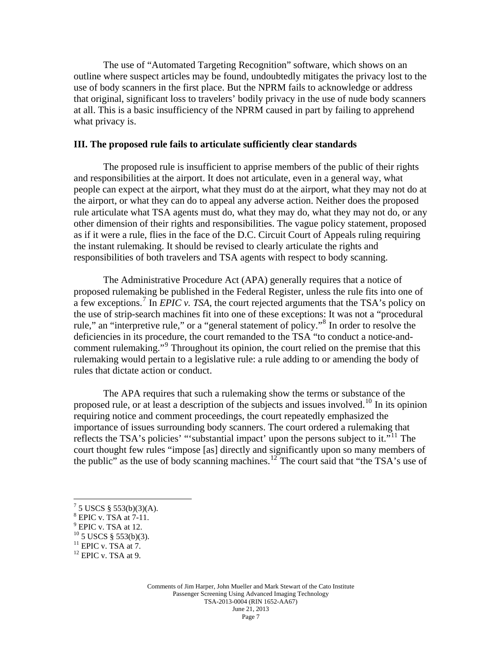The use of "Automated Targeting Recognition" software, which shows on an outline where suspect articles may be found, undoubtedly mitigates the privacy lost to the use of body scanners in the first place. But the NPRM fails to acknowledge or address that original, significant loss to travelers' bodily privacy in the use of nude body scanners at all. This is a basic insufficiency of the NPRM caused in part by failing to apprehend what privacy is.

# **III. The proposed rule fails to articulate sufficiently clear standards**

The proposed rule is insufficient to apprise members of the public of their rights and responsibilities at the airport. It does not articulate, even in a general way, what people can expect at the airport, what they must do at the airport, what they may not do at the airport, or what they can do to appeal any adverse action. Neither does the proposed rule articulate what TSA agents must do, what they may do, what they may not do, or any other dimension of their rights and responsibilities. The vague policy statement, proposed as if it were a rule, flies in the face of the D.C. Circuit Court of Appeals ruling requiring the instant rulemaking. It should be revised to clearly articulate the rights and responsibilities of both travelers and TSA agents with respect to body scanning.

The Administrative Procedure Act (APA) generally requires that a notice of proposed rulemaking be published in the Federal Register, unless the rule fits into one of a few exceptions.<sup>[7](#page-6-0)</sup> In *EPIC v. TSA*, the court rejected arguments that the TSA's policy on the use of strip-search machines fit into one of these exceptions: It was not a "procedural rule," an "interpretive rule," or a "general statement of policy."<sup>[8](#page-6-1)</sup> In order to resolve the deficiencies in its procedure, the court remanded to the TSA "to conduct a notice-and-comment rulemaking."<sup>[9](#page-6-2)</sup> Throughout its opinion, the court relied on the premise that this rulemaking would pertain to a legislative rule: a rule adding to or amending the body of rules that dictate action or conduct.

The APA requires that such a rulemaking show the terms or substance of the proposed rule, or at least a description of the subjects and issues involved.[10](#page-6-3) In its opinion requiring notice and comment proceedings, the court repeatedly emphasized the importance of issues surrounding body scanners. The court ordered a rulemaking that reflects the TSA's policies' "'substantial impact' upon the persons subject to it."<sup>[11](#page-6-4)</sup> The court thought few rules "impose [as] directly and significantly upon so many members of the public" as the use of body scanning machines.<sup>[12](#page-6-5)</sup> The court said that "the TSA's use of

<span id="page-6-0"></span> $7\,$  5 USCS § 553(b)(3)(A).

<span id="page-6-1"></span><sup>8</sup> EPIC v. TSA at 7-11.

<sup>&</sup>lt;sup>9</sup> EPIC v. TSA at 12.

<span id="page-6-3"></span><span id="page-6-2"></span> $10$  5 USCS § 553(b)(3).

<span id="page-6-4"></span> $11$  EPIC v. TSA at 7.

<span id="page-6-5"></span> $12$  EPIC v. TSA at 9.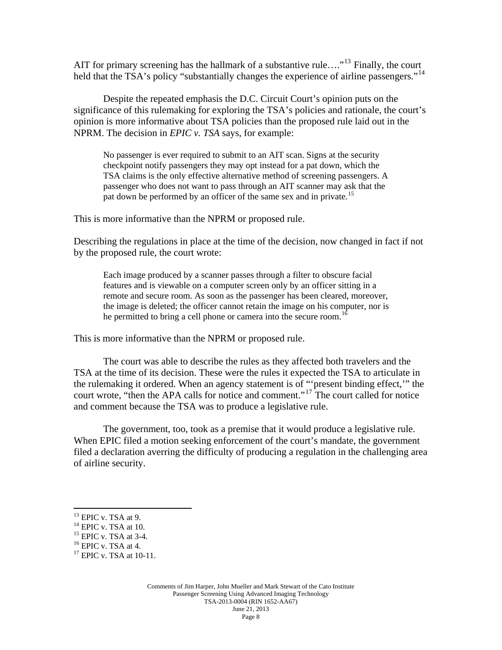AIT for primary screening has the hallmark of a substantive rule....<sup>"[13](#page-7-0)</sup> Finally, the court held that the TSA's policy "substantially changes the experience of airline passengers."<sup>[14](#page-7-1)</sup>

Despite the repeated emphasis the D.C. Circuit Court's opinion puts on the significance of this rulemaking for exploring the TSA's policies and rationale, the court's opinion is more informative about TSA policies than the proposed rule laid out in the NPRM. The decision in *EPIC v. TSA* says, for example:

No passenger is ever required to submit to an AIT scan. Signs at the security checkpoint notify passengers they may opt instead for a pat down, which the TSA claims is the only effective alternative method of screening passengers. A passenger who does not want to pass through an AIT scanner may ask that the pat down be performed by an officer of the same sex and in private.<sup>[15](#page-7-2)</sup>

This is more informative than the NPRM or proposed rule.

Describing the regulations in place at the time of the decision, now changed in fact if not by the proposed rule, the court wrote:

Each image produced by a scanner passes through a filter to obscure facial features and is viewable on a computer screen only by an officer sitting in a remote and secure room. As soon as the passenger has been cleared, moreover, the image is deleted; the officer cannot retain the image on his computer, nor is he permitted to bring a cell phone or camera into the secure room.<sup>[16](#page-7-3)</sup>

This is more informative than the NPRM or proposed rule.

The court was able to describe the rules as they affected both travelers and the TSA at the time of its decision. These were the rules it expected the TSA to articulate in the rulemaking it ordered. When an agency statement is of "'present binding effect,'" the court wrote, "then the APA calls for notice and comment."<sup>[17](#page-7-4)</sup> The court called for notice and comment because the TSA was to produce a legislative rule.

The government, too, took as a premise that it would produce a legislative rule. When EPIC filed a motion seeking enforcement of the court's mandate, the government filed a declaration averring the difficulty of producing a regulation in the challenging area of airline security.

 $13$  EPIC v. TSA at 9.

<span id="page-7-1"></span><span id="page-7-0"></span> $14$  EPIC v. TSA at 10.

<span id="page-7-2"></span><sup>&</sup>lt;sup>15</sup> EPIC v. TSA at 3-4.

<span id="page-7-3"></span><sup>&</sup>lt;sup>16</sup> EPIC v. TSA at 4.

<span id="page-7-4"></span> $17$  EPIC v. TSA at 10-11.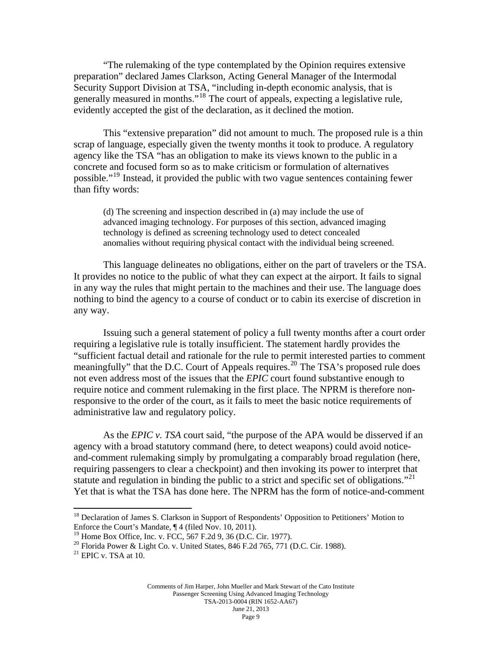"The rulemaking of the type contemplated by the Opinion requires extensive preparation" declared James Clarkson, Acting General Manager of the Intermodal Security Support Division at TSA, "including in-depth economic analysis, that is generally measured in months."[18](#page-8-0) The court of appeals, expecting a legislative rule, evidently accepted the gist of the declaration, as it declined the motion.

This "extensive preparation" did not amount to much. The proposed rule is a thin scrap of language, especially given the twenty months it took to produce. A regulatory agency like the TSA "has an obligation to make its views known to the public in a concrete and focused form so as to make criticism or formulation of alternatives possible."[19](#page-8-1) Instead, it provided the public with two vague sentences containing fewer than fifty words:

(d) The screening and inspection described in (a) may include the use of advanced imaging technology. For purposes of this section, advanced imaging technology is defined as screening technology used to detect concealed anomalies without requiring physical contact with the individual being screened.

This language delineates no obligations, either on the part of travelers or the TSA. It provides no notice to the public of what they can expect at the airport. It fails to signal in any way the rules that might pertain to the machines and their use. The language does nothing to bind the agency to a course of conduct or to cabin its exercise of discretion in any way.

 Issuing such a general statement of policy a full twenty months after a court order requiring a legislative rule is totally insufficient. The statement hardly provides the "sufficient factual detail and rationale for the rule to permit interested parties to comment meaningfully" that the D.C. Court of Appeals requires.<sup>[20](#page-8-2)</sup> The TSA's proposed rule does not even address most of the issues that the *EPIC* court found substantive enough to require notice and comment rulemaking in the first place. The NPRM is therefore nonresponsive to the order of the court, as it fails to meet the basic notice requirements of administrative law and regulatory policy.

As the *EPIC v. TSA* court said, "the purpose of the APA would be disserved if an agency with a broad statutory command (here, to detect weapons) could avoid noticeand-comment rulemaking simply by promulgating a comparably broad regulation (here, requiring passengers to clear a checkpoint) and then invoking its power to interpret that statute and regulation in binding the public to a strict and specific set of obligations.<sup>"[21](#page-8-3)</sup> Yet that is what the TSA has done here. The NPRM has the form of notice-and-comment

1

TSA-2013-0004 (RIN 1652-AA67)

<span id="page-8-0"></span><sup>&</sup>lt;sup>18</sup> Declaration of James S. Clarkson in Support of Respondents' Opposition to Petitioners' Motion to Enforce the Court's Mandate,  $\P$  4 (filed Nov. 10, 2011).

<sup>19</sup> Home Box Office, Inc. v. FCC, 567 F.2d 9, 36 (D.C. Cir. 1977).

<span id="page-8-2"></span><span id="page-8-1"></span> $^{20}$  Florida Power & Light Co. v. United States, 846 F.2d 765, 771 (D.C. Cir. 1988).

<span id="page-8-3"></span> $21$  EPIC v. TSA at 10.

June 21, 2013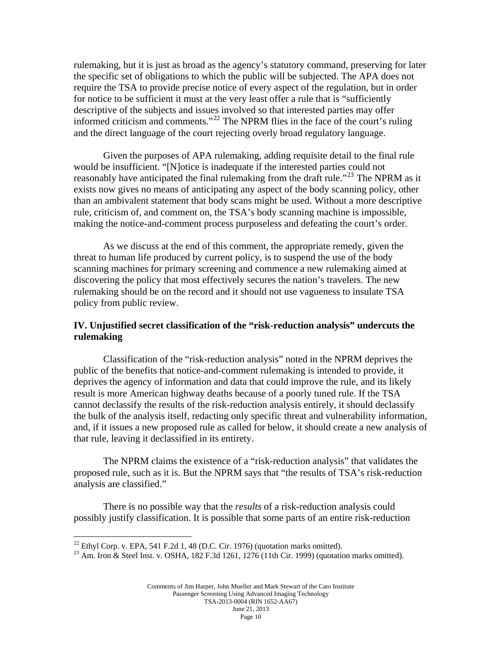rulemaking, but it is just as broad as the agency's statutory command, preserving for later the specific set of obligations to which the public will be subjected. The APA does not require the TSA to provide precise notice of every aspect of the regulation, but in order for notice to be sufficient it must at the very least offer a rule that is "sufficiently descriptive of the subjects and issues involved so that interested parties may offer informed criticism and comments."[22](#page-9-0) The NPRM flies in the face of the court's ruling and the direct language of the court rejecting overly broad regulatory language.

Given the purposes of APA rulemaking, adding requisite detail to the final rule would be insufficient. "[N]otice is inadequate if the interested parties could not reasonably have anticipated the final rulemaking from the draft rule."<sup>[23](#page-9-1)</sup> The NPRM as it exists now gives no means of anticipating any aspect of the body scanning policy, other than an ambivalent statement that body scans might be used. Without a more descriptive rule, criticism of, and comment on, the TSA's body scanning machine is impossible, making the notice-and-comment process purposeless and defeating the court's order.

As we discuss at the end of this comment, the appropriate remedy, given the threat to human life produced by current policy, is to suspend the use of the body scanning machines for primary screening and commence a new rulemaking aimed at discovering the policy that most effectively secures the nation's travelers. The new rulemaking should be on the record and it should not use vagueness to insulate TSA policy from public review.

# **IV. Unjustified secret classification of the "risk-reduction analysis" undercuts the rulemaking**

 Classification of the "risk-reduction analysis" noted in the NPRM deprives the public of the benefits that notice-and-comment rulemaking is intended to provide, it deprives the agency of information and data that could improve the rule, and its likely result is more American highway deaths because of a poorly tuned rule. If the TSA cannot declassify the results of the risk-reduction analysis entirely, it should declassify the bulk of the analysis itself, redacting only specific threat and vulnerability information, and, if it issues a new proposed rule as called for below, it should create a new analysis of that rule, leaving it declassified in its entirety.

The NPRM claims the existence of a "risk-reduction analysis" that validates the proposed rule, such as it is. But the NPRM says that "the results of TSA's risk-reduction analysis are classified."

There is no possible way that the *results* of a risk-reduction analysis could possibly justify classification. It is possible that some parts of an entire risk-reduction

 $\overline{a}$ 

Passenger Screening Using Advanced Imaging Technology

TSA-2013-0004 (RIN 1652-AA67)

June 21, 2013

 $^{22}$  Ethyl Corp. v. EPA, 541 F.2d 1, 48 (D.C. Cir. 1976) (quotation marks omitted).

<span id="page-9-1"></span><span id="page-9-0"></span><sup>&</sup>lt;sup>23</sup> Am. Iron & Steel Inst. v. OSHA, 182 F.3d 1261, 1276 (11th Cir. 1999) (quotation marks omitted).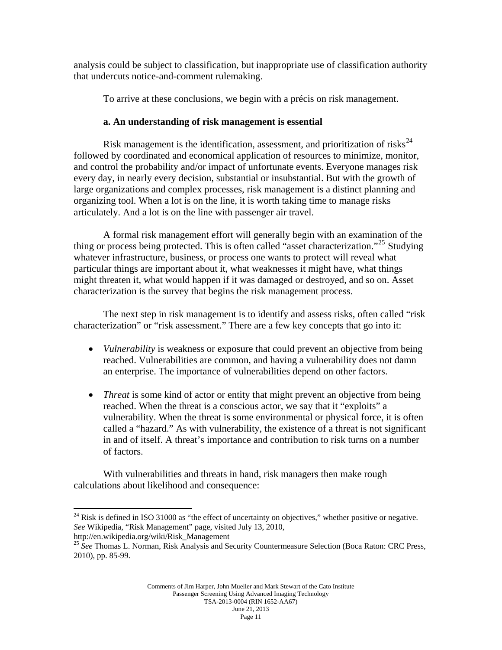analysis could be subject to classification, but inappropriate use of classification authority that undercuts notice-and-comment rulemaking.

To arrive at these conclusions, we begin with a précis on risk management.

# **a. An understanding of risk management is essential**

Risk management is the identification, assessment, and prioritization of risks $^{24}$  $^{24}$  $^{24}$ followed by coordinated and economical application of resources to minimize, monitor, and control the probability and/or impact of unfortunate events. Everyone manages risk every day, in nearly every decision, substantial or insubstantial. But with the growth of large organizations and complex processes, risk management is a distinct planning and organizing tool. When a lot is on the line, it is worth taking time to manage risks articulately. And a lot is on the line with passenger air travel.

A formal risk management effort will generally begin with an examination of the thing or process being protected. This is often called "asset characterization."<sup>[25](#page-10-1)</sup> Studying whatever infrastructure, business, or process one wants to protect will reveal what particular things are important about it, what weaknesses it might have, what things might threaten it, what would happen if it was damaged or destroyed, and so on. Asset characterization is the survey that begins the risk management process.

The next step in risk management is to identify and assess risks, often called "risk characterization" or "risk assessment." There are a few key concepts that go into it:

- *Vulnerability* is weakness or exposure that could prevent an objective from being reached. Vulnerabilities are common, and having a vulnerability does not damn an enterprise. The importance of vulnerabilities depend on other factors.
- *Threat* is some kind of actor or entity that might prevent an objective from being reached. When the threat is a conscious actor, we say that it "exploits" a vulnerability. When the threat is some environmental or physical force, it is often called a "hazard." As with vulnerability, the existence of a threat is not significant in and of itself. A threat's importance and contribution to risk turns on a number of factors.

With vulnerabilities and threats in hand, risk managers then make rough calculations about likelihood and consequence:

 $\overline{a}$ 

Passenger Screening Using Advanced Imaging Technology

TSA-2013-0004 (RIN 1652-AA67) June 21, 2013

<span id="page-10-0"></span> $^{24}$  Risk is defined in ISO 31000 as "the effect of uncertainty on objectives," whether positive or negative. *See* Wikipedia, "Risk Management" page, visited July 13, 2010,

http://en.wikipedia.org/wiki/Risk\_Management

<span id="page-10-1"></span><sup>25</sup> *See* Thomas L. Norman, Risk Analysis and Security Countermeasure Selection (Boca Raton: CRC Press, 2010), pp. 85-99.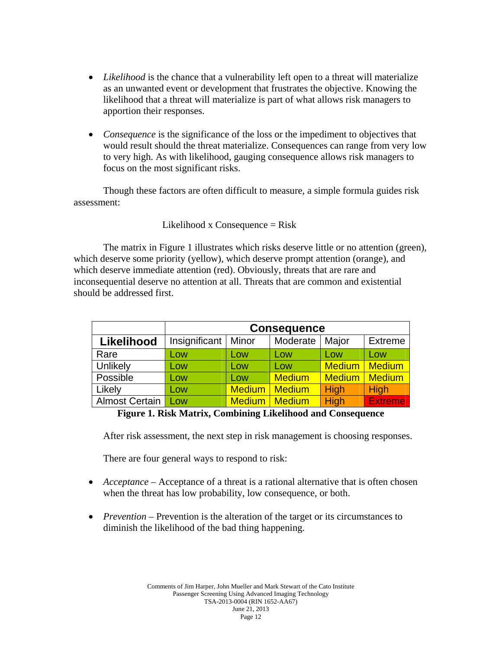- *Likelihood* is the chance that a vulnerability left open to a threat will materialize as an unwanted event or development that frustrates the objective. Knowing the likelihood that a threat will materialize is part of what allows risk managers to apportion their responses.
- *Consequence* is the significance of the loss or the impediment to objectives that would result should the threat materialize. Consequences can range from very low to very high. As with likelihood, gauging consequence allows risk managers to focus on the most significant risks.

Though these factors are often difficult to measure, a simple formula guides risk assessment:

Likelihood x Consequence = Risk

The matrix in Figure 1 illustrates which risks deserve little or no attention (green), which deserve some priority (yellow), which deserve prompt attention (orange), and which deserve immediate attention (red). Obviously, threats that are rare and inconsequential deserve no attention at all. Threats that are common and existential should be addressed first.

|                       | <b>Consequence</b> |               |               |               |                |  |
|-----------------------|--------------------|---------------|---------------|---------------|----------------|--|
| Likelihood            | Insignificant      | Minor         | Moderate      | Major         | <b>Extreme</b> |  |
| Rare                  | Low                | Low           | Low           | Low           | Low            |  |
| Unlikely              | Low                | Low           | Low           | <b>Medium</b> | <b>Medium</b>  |  |
| Possible              | Low                | Low           | <b>Medium</b> | <b>Medium</b> | <b>Medium</b>  |  |
| Likely                | Low                | <b>Medium</b> | <b>Medium</b> | <b>High</b>   | <b>High</b>    |  |
| <b>Almost Certain</b> | Low                | <b>Medium</b> | <b>Medium</b> | <b>High</b>   | <b>Extreme</b> |  |

**Figure 1. Risk Matrix, Combining Likelihood and Consequence** 

After risk assessment, the next step in risk management is choosing responses.

There are four general ways to respond to risk:

- Acceptance Acceptance of a threat is a rational alternative that is often chosen when the threat has low probability, low consequence, or both.
- *Prevention* Prevention is the alteration of the target or its circumstances to diminish the likelihood of the bad thing happening.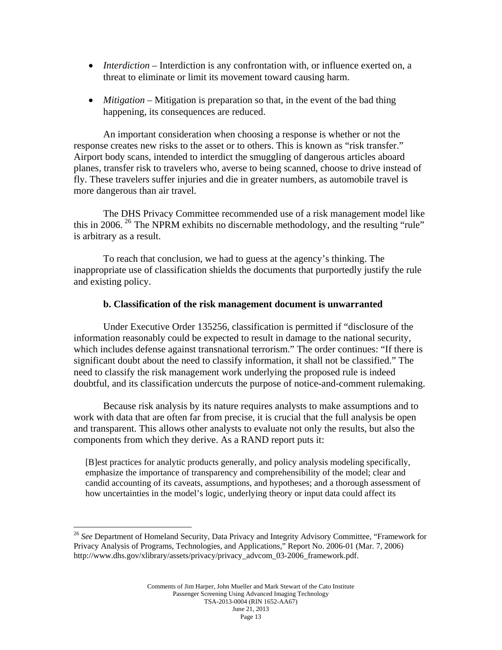- *Interdiction* Interdiction is any confrontation with, or influence exerted on, a threat to eliminate or limit its movement toward causing harm.
- *Mitigation* Mitigation is preparation so that, in the event of the bad thing happening, its consequences are reduced.

An important consideration when choosing a response is whether or not the response creates new risks to the asset or to others. This is known as "risk transfer." Airport body scans, intended to interdict the smuggling of dangerous articles aboard planes, transfer risk to travelers who, averse to being scanned, choose to drive instead of fly. These travelers suffer injuries and die in greater numbers, as automobile travel is more dangerous than air travel.

The DHS Privacy Committee recommended use of a risk management model like this in 2006.<sup>[26](#page-12-0)</sup> The NPRM exhibits no discernable methodology, and the resulting "rule" is arbitrary as a result.

To reach that conclusion, we had to guess at the agency's thinking. The inappropriate use of classification shields the documents that purportedly justify the rule and existing policy.

### **b. Classification of the risk management document is unwarranted**

Under Executive Order 135256, classification is permitted if "disclosure of the information reasonably could be expected to result in damage to the national security, which includes defense against transnational terrorism." The order continues: "If there is significant doubt about the need to classify information, it shall not be classified." The need to classify the risk management work underlying the proposed rule is indeed doubtful, and its classification undercuts the purpose of notice-and-comment rulemaking.

Because risk analysis by its nature requires analysts to make assumptions and to work with data that are often far from precise, it is crucial that the full analysis be open and transparent. This allows other analysts to evaluate not only the results, but also the components from which they derive. As a RAND report puts it:

[B]est practices for analytic products generally, and policy analysis modeling specifically, emphasize the importance of transparency and comprehensibility of the model; clear and candid accounting of its caveats, assumptions, and hypotheses; and a thorough assessment of how uncertainties in the model's logic, underlying theory or input data could affect its

 $\overline{a}$ 

TSA-2013-0004 (RIN 1652-AA67) June 21, 2013

<span id="page-12-0"></span><sup>26</sup> *See* Department of Homeland Security, Data Privacy and Integrity Advisory Committee, "Framework for Privacy Analysis of Programs, Technologies, and Applications," Report No. 2006-01 (Mar. 7, 2006) http://www.dhs.gov/xlibrary/assets/privacy/privacy\_advcom\_03-2006\_framework.pdf.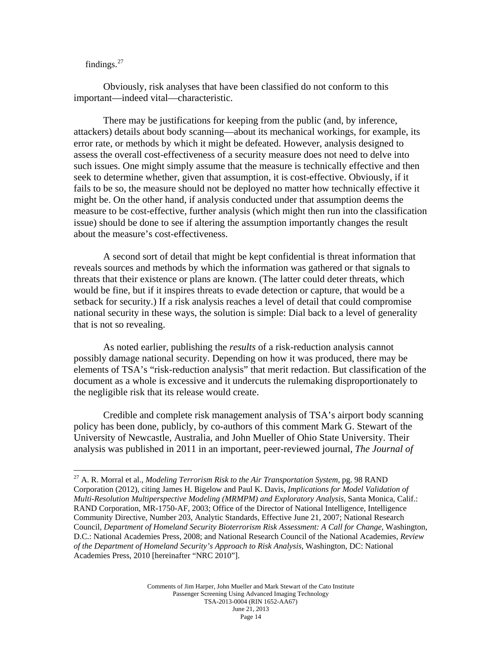# findings.[27](#page-13-0)

 $\overline{a}$ 

 Obviously, risk analyses that have been classified do not conform to this important—indeed vital—characteristic.

 There may be justifications for keeping from the public (and, by inference, attackers) details about body scanning—about its mechanical workings, for example, its error rate, or methods by which it might be defeated. However, analysis designed to assess the overall cost-effectiveness of a security measure does not need to delve into such issues. One might simply assume that the measure is technically effective and then seek to determine whether, given that assumption, it is cost-effective. Obviously, if it fails to be so, the measure should not be deployed no matter how technically effective it might be. On the other hand, if analysis conducted under that assumption deems the measure to be cost-effective, further analysis (which might then run into the classification issue) should be done to see if altering the assumption importantly changes the result about the measure's cost-effectiveness.

A second sort of detail that might be kept confidential is threat information that reveals sources and methods by which the information was gathered or that signals to threats that their existence or plans are known. (The latter could deter threats, which would be fine, but if it inspires threats to evade detection or capture, that would be a setback for security.) If a risk analysis reaches a level of detail that could compromise national security in these ways, the solution is simple: Dial back to a level of generality that is not so revealing.

As noted earlier, publishing the *results* of a risk-reduction analysis cannot possibly damage national security. Depending on how it was produced, there may be elements of TSA's "risk-reduction analysis" that merit redaction. But classification of the document as a whole is excessive and it undercuts the rulemaking disproportionately to the negligible risk that its release would create.

 Credible and complete risk management analysis of TSA's airport body scanning policy has been done, publicly, by co-authors of this comment Mark G. Stewart of the University of Newcastle, Australia, and John Mueller of Ohio State University. Their analysis was published in 2011 in an important, peer-reviewed journal, *The Journal of* 

<span id="page-13-0"></span><sup>27</sup> A. R. Morral et al., *Modeling Terrorism Risk to the Air Transportation System*, pg. 98 RAND Corporation (2012), citing James H. Bigelow and Paul K. Davis, *Implications for Model Validation of Multi-Resolution Multiperspective Modeling (MRMPM) and Exploratory Analysis*, Santa Monica, Calif.: RAND Corporation, MR-1750-AF, 2003; Office of the Director of National Intelligence, Intelligence Community Directive, Number 203, Analytic Standards, Effective June 21, 2007; National Research Council, *Department of Homeland Security Bioterrorism Risk Assessment: A Call for Change*, Washington, D.C.: National Academies Press, 2008; and National Research Council of the National Academies, *Review of the Department of Homeland Security's Approach to Risk Analysis*, Washington, DC: National Academies Press, 2010 [hereinafter "NRC 2010"].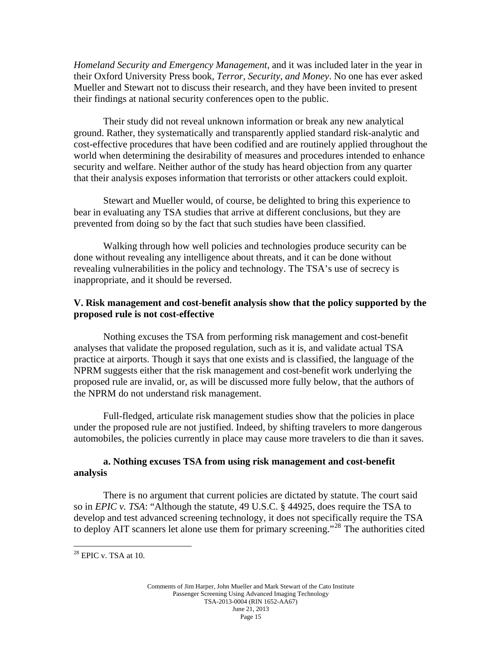*Homeland Security and Emergency Management*, and it was included later in the year in their Oxford University Press book, *Terror, Security, and Money*. No one has ever asked Mueller and Stewart not to discuss their research, and they have been invited to present their findings at national security conferences open to the public.

Their study did not reveal unknown information or break any new analytical ground. Rather, they systematically and transparently applied standard risk-analytic and cost-effective procedures that have been codified and are routinely applied throughout the world when determining the desirability of measures and procedures intended to enhance security and welfare. Neither author of the study has heard objection from any quarter that their analysis exposes information that terrorists or other attackers could exploit.

Stewart and Mueller would, of course, be delighted to bring this experience to bear in evaluating any TSA studies that arrive at different conclusions, but they are prevented from doing so by the fact that such studies have been classified.

Walking through how well policies and technologies produce security can be done without revealing any intelligence about threats, and it can be done without revealing vulnerabilities in the policy and technology. The TSA's use of secrecy is inappropriate, and it should be reversed.

# **V. Risk management and cost-benefit analysis show that the policy supported by the proposed rule is not cost-effective**

Nothing excuses the TSA from performing risk management and cost-benefit analyses that validate the proposed regulation, such as it is, and validate actual TSA practice at airports. Though it says that one exists and is classified, the language of the NPRM suggests either that the risk management and cost-benefit work underlying the proposed rule are invalid, or, as will be discussed more fully below, that the authors of the NPRM do not understand risk management.

Full-fledged, articulate risk management studies show that the policies in place under the proposed rule are not justified. Indeed, by shifting travelers to more dangerous automobiles, the policies currently in place may cause more travelers to die than it saves.

# **a. Nothing excuses TSA from using risk management and cost-benefit analysis**

There is no argument that current policies are dictated by statute. The court said so in *EPIC v. TSA*: "Although the statute, 49 U.S.C. § 44925, does require the TSA to develop and test advanced screening technology, it does not specifically require the TSA to deploy AIT scanners let alone use them for primary screening."<sup>[28](#page-14-0)</sup> The authorities cited

<span id="page-14-0"></span> $^{28}$  EPIC v. TSA at 10.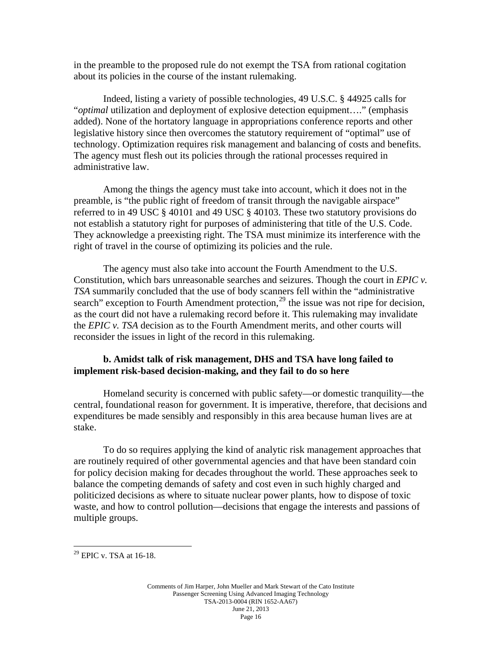in the preamble to the proposed rule do not exempt the TSA from rational cogitation about its policies in the course of the instant rulemaking.

Indeed, listing a variety of possible technologies, 49 U.S.C. § 44925 calls for "*optimal* utilization and deployment of explosive detection equipment…." (emphasis added). None of the hortatory language in appropriations conference reports and other legislative history since then overcomes the statutory requirement of "optimal" use of technology. Optimization requires risk management and balancing of costs and benefits. The agency must flesh out its policies through the rational processes required in administrative law.

Among the things the agency must take into account, which it does not in the preamble, is "the public right of freedom of transit through the navigable airspace" referred to in 49 USC § 40101 and 49 USC § 40103. These two statutory provisions do not establish a statutory right for purposes of administering that title of the U.S. Code. They acknowledge a preexisting right. The TSA must minimize its interference with the right of travel in the course of optimizing its policies and the rule.

The agency must also take into account the Fourth Amendment to the U.S. Constitution, which bars unreasonable searches and seizures. Though the court in *EPIC v. TSA* summarily concluded that the use of body scanners fell within the "administrative search" exception to Fourth Amendment protection, $^{29}$  $^{29}$  $^{29}$  the issue was not ripe for decision, as the court did not have a rulemaking record before it. This rulemaking may invalidate the *EPIC v. TSA* decision as to the Fourth Amendment merits, and other courts will reconsider the issues in light of the record in this rulemaking.

# **b. Amidst talk of risk management, DHS and TSA have long failed to implement risk-based decision-making, and they fail to do so here**

 Homeland security is concerned with public safety—or domestic tranquility—the central, foundational reason for government. It is imperative, therefore, that decisions and expenditures be made sensibly and responsibly in this area because human lives are at stake.

 To do so requires applying the kind of analytic risk management approaches that are routinely required of other governmental agencies and that have been standard coin for policy decision making for decades throughout the world. These approaches seek to balance the competing demands of safety and cost even in such highly charged and politicized decisions as where to situate nuclear power plants, how to dispose of toxic waste, and how to control pollution—decisions that engage the interests and passions of multiple groups.

<span id="page-15-0"></span><sup>29</sup> EPIC v. TSA at 16-18.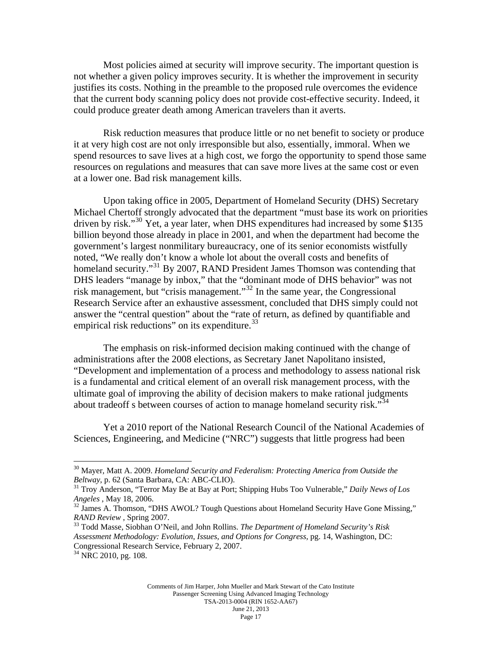Most policies aimed at security will improve security. The important question is not whether a given policy improves security. It is whether the improvement in security justifies its costs. Nothing in the preamble to the proposed rule overcomes the evidence that the current body scanning policy does not provide cost-effective security. Indeed, it could produce greater death among American travelers than it averts.

 Risk reduction measures that produce little or no net benefit to society or produce it at very high cost are not only irresponsible but also, essentially, immoral. When we spend resources to save lives at a high cost, we forgo the opportunity to spend those same resources on regulations and measures that can save more lives at the same cost or even at a lower one. Bad risk management kills.

 Upon taking office in 2005, Department of Homeland Security (DHS) Secretary Michael Chertoff strongly advocated that the department "must base its work on priorities driven by risk."<sup>[30](#page-16-0)</sup> Yet, a year later, when DHS expenditures had increased by some \$135 billion beyond those already in place in 2001, and when the department had become the government's largest nonmilitary bureaucracy, one of its senior economists wistfully noted, "We really don't know a whole lot about the overall costs and benefits of homeland security."<sup>[31](#page-16-1)</sup> By 2007, RAND President James Thomson was contending that DHS leaders "manage by inbox," that the "dominant mode of DHS behavior" was not risk management, but "crisis management."[32](#page-16-2) In the same year, the Congressional Research Service after an exhaustive assessment, concluded that DHS simply could not answer the "central question" about the "rate of return, as defined by quantifiable and empirical risk reductions" on its expenditure.<sup>[33](#page-16-3)</sup>

 The emphasis on risk-informed decision making continued with the change of administrations after the 2008 elections, as Secretary Janet Napolitano insisted, "Development and implementation of a process and methodology to assess national risk is a fundamental and critical element of an overall risk management process, with the ultimate goal of improving the ability of decision makers to make rational judgments about tradeoff s between courses of action to manage homeland security risk."<sup>[34](#page-16-4)</sup>

 Yet a 2010 report of the National Research Council of the National Academies of Sciences, Engineering, and Medicine ("NRC") suggests that little progress had been

<span id="page-16-0"></span><sup>&</sup>lt;sup>30</sup> Mayer, Matt A. 2009. *Homeland Security and Federalism: Protecting America from Outside the Beltway*, p. 62 (Santa Barbara, CA: ABC-CLIO).

<span id="page-16-1"></span><sup>&</sup>lt;sup>31</sup> Troy Anderson, "Terror May Be at Bay at Port; Shipping Hubs Too Vulnerable," *Daily News of Los Angeles* , May 18, 2006.<br><sup>32</sup> James A. Thomson, "DHS AWOL? Tough Questions about Homeland Security Have Gone Missing,"

<span id="page-16-2"></span>*RAND Review*, Spring 2007.<br><sup>33</sup> Todd Masse, Siobhan O'Neil, and John Rollins. *The Department of Homeland Security's Risk* 

<span id="page-16-3"></span>*Assessment Methodology: Evolution, Issues, and Options for Congress,* pg. 14, Washington, DC: Congressional Research Service, February 2, 2007. 34 NRC 2010, pg. 108.

<span id="page-16-4"></span>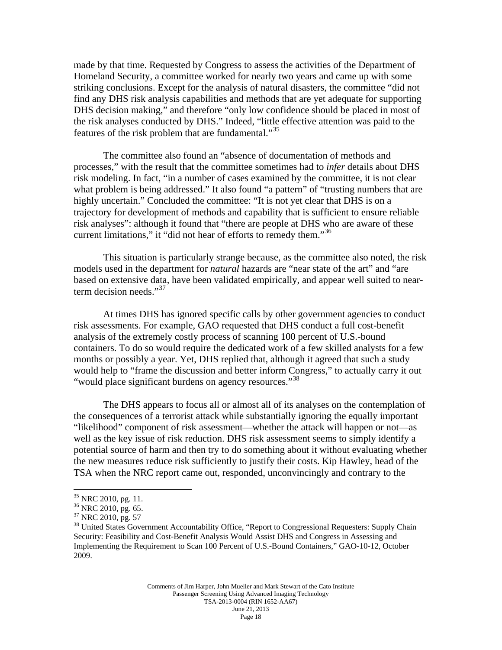made by that time. Requested by Congress to assess the activities of the Department of Homeland Security, a committee worked for nearly two years and came up with some striking conclusions. Except for the analysis of natural disasters, the committee "did not find any DHS risk analysis capabilities and methods that are yet adequate for supporting DHS decision making," and therefore "only low confidence should be placed in most of the risk analyses conducted by DHS." Indeed, "little effective attention was paid to the features of the risk problem that are fundamental."<sup>[35](#page-17-0)</sup>

The committee also found an "absence of documentation of methods and processes," with the result that the committee sometimes had to *infer* details about DHS risk modeling. In fact, "in a number of cases examined by the committee, it is not clear what problem is being addressed." It also found "a pattern" of "trusting numbers that are highly uncertain." Concluded the committee: "It is not yet clear that DHS is on a trajectory for development of methods and capability that is sufficient to ensure reliable risk analyses": although it found that "there are people at DHS who are aware of these current limitations," it "did not hear of efforts to remedy them."[36](#page-17-1)

This situation is particularly strange because, as the committee also noted, the risk models used in the department for *natural* hazards are "near state of the art" and "are based on extensive data, have been validated empirically, and appear well suited to near-term decision needs."<sup>[37](#page-17-2)</sup>

 At times DHS has ignored specific calls by other government agencies to conduct risk assessments. For example, GAO requested that DHS conduct a full cost-benefit analysis of the extremely costly process of scanning 100 percent of U.S.-bound containers. To do so would require the dedicated work of a few skilled analysts for a few months or possibly a year. Yet, DHS replied that, although it agreed that such a study would help to "frame the discussion and better inform Congress," to actually carry it out "would place significant burdens on agency resources."<sup>[38](#page-17-3)</sup>

 The DHS appears to focus all or almost all of its analyses on the contemplation of the consequences of a terrorist attack while substantially ignoring the equally important "likelihood" component of risk assessment—whether the attack will happen or not—as well as the key issue of risk reduction. DHS risk assessment seems to simply identify a potential source of harm and then try to do something about it without evaluating whether the new measures reduce risk sufficiently to justify their costs. Kip Hawley, head of the TSA when the NRC report came out, responded, unconvincingly and contrary to the

 $\overline{a}$ 

Comments of Jim Harper, John Mueller and Mark Stewart of the Cato Institute Passenger Screening Using Advanced Imaging Technology TSA-2013-0004 (RIN 1652-AA67) June 21, 2013 Page 18

<span id="page-17-0"></span> $35$  NRC 2010, pg. 11.

<span id="page-17-1"></span> $36$  NRC 2010, pg. 65.

<span id="page-17-2"></span> $37$  NRC 2010, pg. 57

<span id="page-17-3"></span><sup>&</sup>lt;sup>38</sup> United States Government Accountability Office, "Report to Congressional Requesters: Supply Chain Security: Feasibility and Cost-Benefit Analysis Would Assist DHS and Congress in Assessing and Implementing the Requirement to Scan 100 Percent of U.S.-Bound Containers," GAO-10-12, October 2009.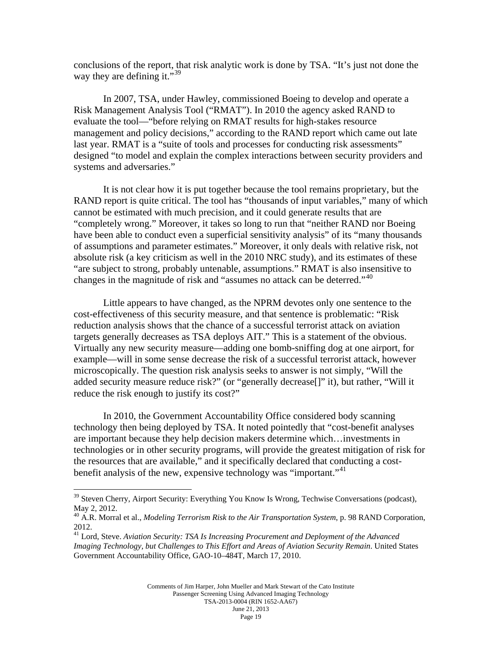conclusions of the report, that risk analytic work is done by TSA. "It's just not done the way they are defining it."<sup>[39](#page-18-0)</sup>

In 2007, TSA, under Hawley, commissioned Boeing to develop and operate a Risk Management Analysis Tool ("RMAT"). In 2010 the agency asked RAND to evaluate the tool—"before relying on RMAT results for high-stakes resource management and policy decisions," according to the RAND report which came out late last year. RMAT is a "suite of tools and processes for conducting risk assessments" designed "to model and explain the complex interactions between security providers and systems and adversaries."

It is not clear how it is put together because the tool remains proprietary, but the RAND report is quite critical. The tool has "thousands of input variables," many of which cannot be estimated with much precision, and it could generate results that are "completely wrong." Moreover, it takes so long to run that "neither RAND nor Boeing have been able to conduct even a superficial sensitivity analysis" of its "many thousands of assumptions and parameter estimates." Moreover, it only deals with relative risk, not absolute risk (a key criticism as well in the 2010 NRC study), and its estimates of these "are subject to strong, probably untenable, assumptions." RMAT is also insensitive to changes in the magnitude of risk and "assumes no attack can be deterred."<sup>[40](#page-18-1)</sup>

Little appears to have changed, as the NPRM devotes only one sentence to the cost-effectiveness of this security measure, and that sentence is problematic: "Risk reduction analysis shows that the chance of a successful terrorist attack on aviation targets generally decreases as TSA deploys AIT." This is a statement of the obvious. Virtually any new security measure—adding one bomb-sniffing dog at one airport, for example—will in some sense decrease the risk of a successful terrorist attack, however microscopically. The question risk analysis seeks to answer is not simply, "Will the added security measure reduce risk?" (or "generally decrease[]" it), but rather, "Will it reduce the risk enough to justify its cost?"

In 2010, the Government Accountability Office considered body scanning technology then being deployed by TSA. It noted pointedly that "cost-benefit analyses are important because they help decision makers determine which…investments in technologies or in other security programs, will provide the greatest mitigation of risk for the resources that are available," and it specifically declared that conducting a costbenefit analysis of the new, expensive technology was "important."[41](#page-18-2)

 $\overline{a}$ 

Comments of Jim Harper, John Mueller and Mark Stewart of the Cato Institute

Passenger Screening Using Advanced Imaging Technology

TSA-2013-0004 (RIN 1652-AA67)

June 21, 2013

<span id="page-18-0"></span><sup>&</sup>lt;sup>39</sup> Steven Cherry, Airport Security: Everything You Know Is Wrong, Techwise Conversations (podcast), May 2, 2012.

<span id="page-18-1"></span><sup>40</sup> A.R. Morral et al., *Modeling Terrorism Risk to the Air Transportation System*, p. 98 RAND Corporation, 2012.

<span id="page-18-2"></span><sup>41</sup> Lord, Steve. *Aviation Security: TSA Is Increasing Procurement and Deployment of the Advanced Imaging Technology, but Challenges to This Effort and Areas of Aviation Security Remain*. United States Government Accountability Office, GAO-10–484T, March 17, 2010.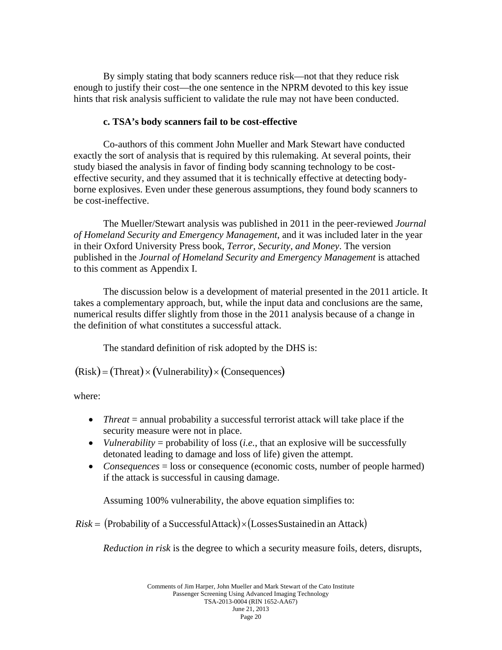By simply stating that body scanners reduce risk—not that they reduce risk enough to justify their cost—the one sentence in the NPRM devoted to this key issue hints that risk analysis sufficient to validate the rule may not have been conducted.

# **c. TSA's body scanners fail to be cost-effective**

 Co-authors of this comment John Mueller and Mark Stewart have conducted exactly the sort of analysis that is required by this rulemaking. At several points, their study biased the analysis in favor of finding body scanning technology to be costeffective security, and they assumed that it is technically effective at detecting bodyborne explosives. Even under these generous assumptions, they found body scanners to be cost-ineffective.

 The Mueller/Stewart analysis was published in 2011 in the peer-reviewed *Journal of Homeland Security and Emergency Management*, and it was included later in the year in their Oxford University Press book, *Terror, Security, and Money*. The version published in the *Journal of Homeland Security and Emergency Management* is attached to this comment as Appendix I.

 The discussion below is a development of material presented in the 2011 article. It takes a complementary approach, but, while the input data and conclusions are the same, numerical results differ slightly from those in the 2011 analysis because of a change in the definition of what constitutes a successful attack.

The standard definition of risk adopted by the DHS is:

 $(Risk) = (Threat) \times (Vulnerability) \times (Consequences)$ 

where:

- *Threat* = annual probability a successful terrorist attack will take place if the security measure were not in place.
- *Vulnerability* = probability of loss (*i.e.*, that an explosive will be successfully detonated leading to damage and loss of life) given the attempt.
- *Consequences* = loss or consequence (economic costs, number of people harmed) if the attack is successful in causing damage.

Assuming 100% vulnerability, the above equation simplifies to:

 $Risk = (Probability of a SuccessfulAttack) \times (Losses Sustainable din an Attack)$ 

*Reduction in risk* is the degree to which a security measure foils, deters, disrupts,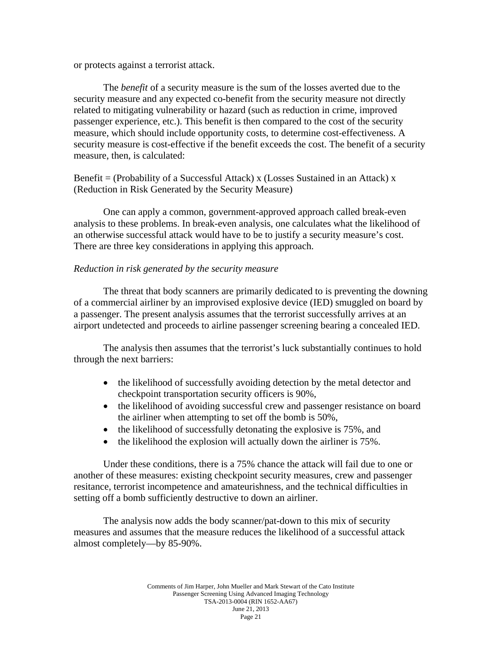or protects against a terrorist attack.

The *benefit* of a security measure is the sum of the losses averted due to the security measure and any expected co-benefit from the security measure not directly related to mitigating vulnerability or hazard (such as reduction in crime, improved passenger experience, etc.). This benefit is then compared to the cost of the security measure, which should include opportunity costs, to determine cost-effectiveness. A security measure is cost-effective if the benefit exceeds the cost. The benefit of a security measure, then, is calculated:

Benefit = (Probability of a Successful Attack) x (Losses Sustained in an Attack) x (Reduction in Risk Generated by the Security Measure)

One can apply a common, government-approved approach called break-even analysis to these problems. In break-even analysis, one calculates what the likelihood of an otherwise successful attack would have to be to justify a security measure's cost. There are three key considerations in applying this approach.

# *Reduction in risk generated by the security measure*

 The threat that body scanners are primarily dedicated to is preventing the downing of a commercial airliner by an improvised explosive device (IED) smuggled on board by a passenger. The present analysis assumes that the terrorist successfully arrives at an airport undetected and proceeds to airline passenger screening bearing a concealed IED.

 The analysis then assumes that the terrorist's luck substantially continues to hold through the next barriers:

- the likelihood of successfully avoiding detection by the metal detector and checkpoint transportation security officers is 90%,
- the likelihood of avoiding successful crew and passenger resistance on board the airliner when attempting to set off the bomb is 50%,
- $\bullet$  the likelihood of successfully detonating the explosive is 75%, and
- the likelihood the explosion will actually down the airliner is 75%.

 Under these conditions, there is a 75% chance the attack will fail due to one or another of these measures: existing checkpoint security measures, crew and passenger resitance, terrorist incompetence and amateurishness, and the technical difficulties in setting off a bomb sufficiently destructive to down an airliner.

 The analysis now adds the body scanner/pat-down to this mix of security measures and assumes that the measure reduces the likelihood of a successful attack almost completely—by 85-90%.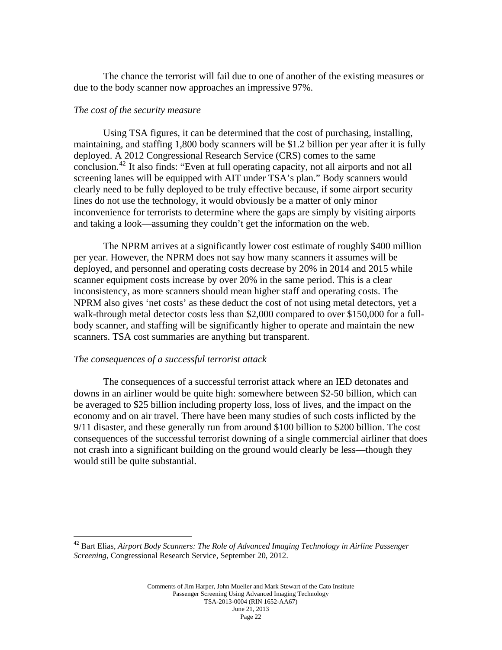The chance the terrorist will fail due to one of another of the existing measures or due to the body scanner now approaches an impressive 97%.

#### *The cost of the security measure*

 Using TSA figures, it can be determined that the cost of purchasing, installing, maintaining, and staffing 1,800 body scanners will be \$1.2 billion per year after it is fully deployed. A 2012 Congressional Research Service (CRS) comes to the same conclusion.[42](#page-21-0) It also finds: "Even at full operating capacity, not all airports and not all screening lanes will be equipped with AIT under TSA's plan." Body scanners would clearly need to be fully deployed to be truly effective because, if some airport security lines do not use the technology, it would obviously be a matter of only minor inconvenience for terrorists to determine where the gaps are simply by visiting airports and taking a look—assuming they couldn't get the information on the web.

 The NPRM arrives at a significantly lower cost estimate of roughly \$400 million per year. However, the NPRM does not say how many scanners it assumes will be deployed, and personnel and operating costs decrease by 20% in 2014 and 2015 while scanner equipment costs increase by over 20% in the same period. This is a clear inconsistency, as more scanners should mean higher staff and operating costs. The NPRM also gives 'net costs' as these deduct the cost of not using metal detectors, yet a walk-through metal detector costs less than \$2,000 compared to over \$150,000 for a fullbody scanner, and staffing will be significantly higher to operate and maintain the new scanners. TSA cost summaries are anything but transparent.

#### *The consequences of a successful terrorist attack*

 The consequences of a successful terrorist attack where an IED detonates and downs in an airliner would be quite high: somewhere between \$2-50 billion, which can be averaged to \$25 billion including property loss, loss of lives, and the impact on the economy and on air travel. There have been many studies of such costs inflicted by the 9/11 disaster, and these generally run from around \$100 billion to \$200 billion. The cost consequences of the successful terrorist downing of a single commercial airliner that does not crash into a significant building on the ground would clearly be less—though they would still be quite substantial.

<span id="page-21-0"></span> $\overline{a}$ 42 Bart Elias, *Airport Body Scanners: The Role of Advanced Imaging Technology in Airline Passenger Screening*, Congressional Research Service, September 20, 2012.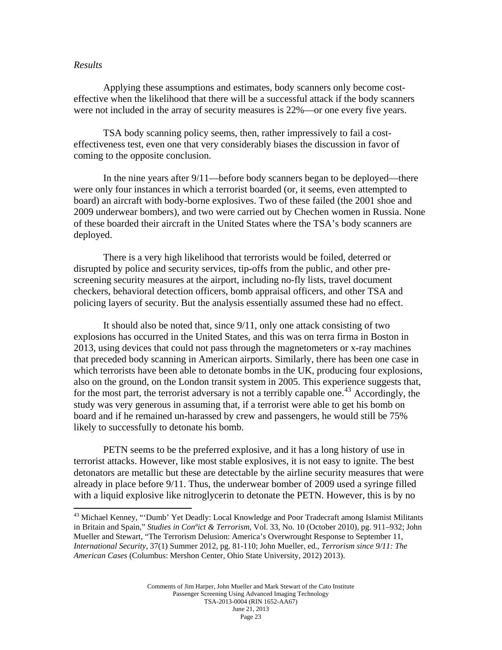#### *Results*

 $\overline{a}$ 

Applying these assumptions and estimates, body scanners only become costeffective when the likelihood that there will be a successful attack if the body scanners were not included in the array of security measures is 22%—or one every five years.

 TSA body scanning policy seems, then, rather impressively to fail a costeffectiveness test, even one that very considerably biases the discussion in favor of coming to the opposite conclusion.

 In the nine years after 9/11—before body scanners began to be deployed—there were only four instances in which a terrorist boarded (or, it seems, even attempted to board) an aircraft with body-borne explosives. Two of these failed (the 2001 shoe and 2009 underwear bombers), and two were carried out by Chechen women in Russia. None of these boarded their aircraft in the United States where the TSA's body scanners are deployed.

There is a very high likelihood that terrorists would be foiled, deterred or disrupted by police and security services, tip-offs from the public, and other prescreening security measures at the airport, including no-fly lists, travel document checkers, behavioral detection officers, bomb appraisal officers, and other TSA and policing layers of security. But the analysis essentially assumed these had no effect.

 It should also be noted that, since 9/11, only one attack consisting of two explosions has occurred in the United States, and this was on terra firma in Boston in 2013, using devices that could not pass through the magnetometers or x-ray machines that preceded body scanning in American airports. Similarly, there has been one case in which terrorists have been able to detonate bombs in the UK, producing four explosions, also on the ground, on the London transit system in 2005. This experience suggests that, for the most part, the terrorist adversary is not a terribly capable one.<sup>[43](#page-22-0)</sup> Accordingly, the study was very generous in assuming that, if a terrorist were able to get his bomb on board and if he remained un-harassed by crew and passengers, he would still be 75% likely to successfully to detonate his bomb.

 PETN seems to be the preferred explosive, and it has a long history of use in terrorist attacks. However, like most stable explosives, it is not easy to ignite. The best detonators are metallic but these are detectable by the airline security measures that were already in place before 9/11. Thus, the underwear bomber of 2009 used a syringe filled with a liquid explosive like nitroglycerin to detonate the PETN. However, this is by no

June 21, 2013

<span id="page-22-0"></span><sup>&</sup>lt;sup>43</sup> Michael Kenney, "'Dumb' Yet Deadly: Local Knowledge and Poor Tradecraft among Islamist Militants in Britain and Spain," *Studies in Conºict & Terrorism,* Vol. 33, No. 10 (October 2010), pg. 911–932; John Mueller and Stewart, "The Terrorism Delusion: America's Overwrought Response to September 11, *International Security*, 37(1) Summer 2012, pg. 81-110; John Mueller, ed., *Terrorism since 9/11: The American Cases* (Columbus: Mershon Center, Ohio State University, 2012) 2013).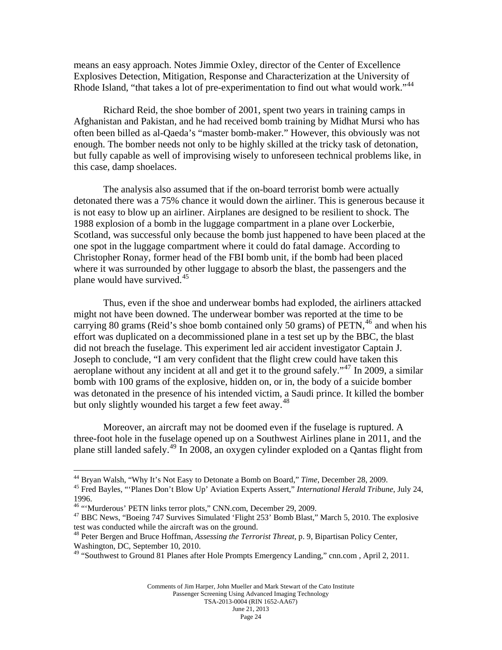means an easy approach. Notes Jimmie Oxley, director of the Center of Excellence Explosives Detection, Mitigation, Response and Characterization at the University of Rhode Island, "that takes a lot of pre-experimentation to find out what would work."<sup>[44](#page-23-0)</sup>

 Richard Reid, the shoe bomber of 2001, spent two years in training camps in Afghanistan and Pakistan, and he had received bomb training by Midhat Mursi who has often been billed as al-Qaeda's "master bomb-maker." However, this obviously was not enough. The bomber needs not only to be highly skilled at the tricky task of detonation, but fully capable as well of improvising wisely to unforeseen technical problems like, in this case, damp shoelaces.

 The analysis also assumed that if the on-board terrorist bomb were actually detonated there was a 75% chance it would down the airliner. This is generous because it is not easy to blow up an airliner. Airplanes are designed to be resilient to shock. The 1988 explosion of a bomb in the luggage compartment in a plane over Lockerbie, Scotland, was successful only because the bomb just happened to have been placed at the one spot in the luggage compartment where it could do fatal damage. According to Christopher Ronay, former head of the FBI bomb unit, if the bomb had been placed where it was surrounded by other luggage to absorb the blast, the passengers and the plane would have survived.[45](#page-23-1)

 Thus, even if the shoe and underwear bombs had exploded, the airliners attacked might not have been downed. The underwear bomber was reported at the time to be carrying 80 grams (Reid's shoe bomb contained only 50 grams) of  $PETN<sub>1</sub><sup>46</sup>$  $PETN<sub>1</sub><sup>46</sup>$  $PETN<sub>1</sub><sup>46</sup>$  and when his effort was duplicated on a decommissioned plane in a test set up by the BBC, the blast did not breach the fuselage. This experiment led air accident investigator Captain J. Joseph to conclude, "I am very confident that the flight crew could have taken this aeroplane without any incident at all and get it to the ground safely."[47](#page-23-3) In 2009, a similar bomb with 100 grams of the explosive, hidden on, or in, the body of a suicide bomber was detonated in the presence of his intended victim, a Saudi prince. It killed the bomber but only slightly wounded his target a few feet away.<sup>[48](#page-23-4)</sup>

 Moreover, an aircraft may not be doomed even if the fuselage is ruptured. A three-foot hole in the fuselage opened up on a Southwest Airlines plane in 2011, and the plane still landed safely.<sup>[49](#page-23-5)</sup> In 2008, an oxygen cylinder exploded on a Qantas flight from

Passenger Screening Using Advanced Imaging Technology

June 21, 2013

<span id="page-23-0"></span><sup>&</sup>lt;sup>44</sup> Bryan Walsh, "Why It's Not Easy to Detonate a Bomb on Board," Time, December 28, 2009.

<span id="page-23-1"></span><sup>&</sup>lt;sup>45</sup> Fred Bayles, "'Planes Don't Blow Up' Aviation Experts Assert," *International Herald Tribune*, July 24, 1996.<br><sup>46</sup> "Murderous' PETN links terror plots," CNN.com, December 29, 2009.

<span id="page-23-3"></span><span id="page-23-2"></span> $47$  BBC News, "Boeing 747 Survives Simulated 'Flight 253' Bomb Blast," March 5, 2010. The explosive test was conducted while the aircraft was on the ground.

<span id="page-23-4"></span><sup>48</sup> Peter Bergen and Bruce Hoffman, *Assessing the Terrorist Threat*, p. 9, Bipartisan Policy Center, Washington, DC, September 10, 2010.

<span id="page-23-5"></span><sup>49 &</sup>quot;Southwest to Ground 81 Planes after Hole Prompts Emergency Landing," cnn.com , April 2, 2011.

TSA-2013-0004 (RIN 1652-AA67)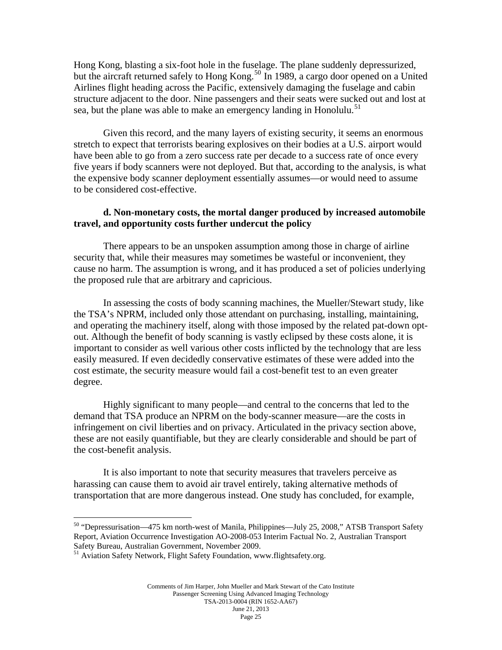Hong Kong, blasting a six-foot hole in the fuselage. The plane suddenly depressurized, but the aircraft returned safely to Hong Kong.<sup>[50](#page-24-0)</sup> In 1989, a cargo door opened on a United Airlines flight heading across the Pacific, extensively damaging the fuselage and cabin structure adjacent to the door. Nine passengers and their seats were sucked out and lost at sea, but the plane was able to make an emergency landing in Honolulu.<sup>[51](#page-24-1)</sup>

 Given this record, and the many layers of existing security, it seems an enormous stretch to expect that terrorists bearing explosives on their bodies at a U.S. airport would have been able to go from a zero success rate per decade to a success rate of once every five years if body scanners were not deployed. But that, according to the analysis, is what the expensive body scanner deployment essentially assumes—or would need to assume to be considered cost-effective.

# **d. Non-monetary costs, the mortal danger produced by increased automobile travel, and opportunity costs further undercut the policy**

 There appears to be an unspoken assumption among those in charge of airline security that, while their measures may sometimes be wasteful or inconvenient, they cause no harm. The assumption is wrong, and it has produced a set of policies underlying the proposed rule that are arbitrary and capricious.

 In assessing the costs of body scanning machines, the Mueller/Stewart study, like the TSA's NPRM, included only those attendant on purchasing, installing, maintaining, and operating the machinery itself, along with those imposed by the related pat-down optout. Although the benefit of body scanning is vastly eclipsed by these costs alone, it is important to consider as well various other costs inflicted by the technology that are less easily measured. If even decidedly conservative estimates of these were added into the cost estimate, the security measure would fail a cost-benefit test to an even greater degree.

 Highly significant to many people—and central to the concerns that led to the demand that TSA produce an NPRM on the body-scanner measure—are the costs in infringement on civil liberties and on privacy. Articulated in the privacy section above, these are not easily quantifiable, but they are clearly considerable and should be part of the cost-benefit analysis.

 It is also important to note that security measures that travelers perceive as harassing can cause them to avoid air travel entirely, taking alternative methods of transportation that are more dangerous instead. One study has concluded, for example,

Passenger Screening Using Advanced Imaging Technology

TSA-2013-0004 (RIN 1652-AA67)

June 21, 2013

<span id="page-24-0"></span><sup>&</sup>lt;sup>50</sup> "Depressurisation—475 km north-west of Manila, Philippines—July 25, 2008," ATSB Transport Safety Report, Aviation Occurrence Investigation AO-2008-053 Interim Factual No. 2, Australian Transport Safety Bureau, Australian Government, November 2009.

<span id="page-24-1"></span><sup>&</sup>lt;sup>51</sup> Aviation Safety Network, Flight Safety Foundation, www.flightsafety.org.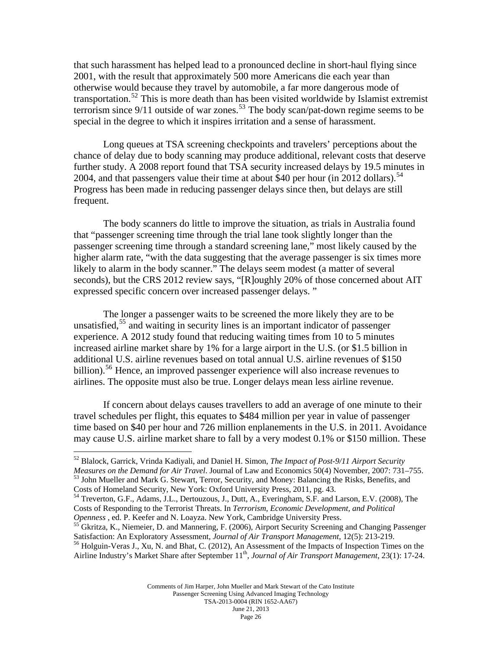that such harassment has helped lead to a pronounced decline in short-haul flying since 2001, with the result that approximately 500 more Americans die each year than otherwise would because they travel by automobile, a far more dangerous mode of transportation.<sup>[52](#page-25-0)</sup> This is more death than has been visited worldwide by Islamist extremist terrorism since  $9/11$  outside of war zones.<sup>[53](#page-25-1)</sup> The body scan/pat-down regime seems to be special in the degree to which it inspires irritation and a sense of harassment.

Long queues at TSA screening checkpoints and travelers' perceptions about the chance of delay due to body scanning may produce additional, relevant costs that deserve further study. A 2008 report found that TSA security increased delays by 19.5 minutes in 2004, and that passengers value their time at about \$40 per hour (in 2012 dollars).<sup>[54](#page-25-2)</sup> Progress has been made in reducing passenger delays since then, but delays are still frequent.

The body scanners do little to improve the situation, as trials in Australia found that "passenger screening time through the trial lane took slightly longer than the passenger screening time through a standard screening lane," most likely caused by the higher alarm rate, "with the data suggesting that the average passenger is six times more likely to alarm in the body scanner." The delays seem modest (a matter of several seconds), but the CRS 2012 review says, "[R]oughly 20% of those concerned about AIT expressed specific concern over increased passenger delays. "

 The longer a passenger waits to be screened the more likely they are to be unsatisfied,<sup>[55](#page-25-3)</sup> and waiting in security lines is an important indicator of passenger experience. A 2012 study found that reducing waiting times from 10 to 5 minutes increased airline market share by 1% for a large airport in the U.S. (or \$1.5 billion in additional U.S. airline revenues based on total annual U.S. airline revenues of \$150 billion).<sup>[56](#page-25-4)</sup> Hence, an improved passenger experience will also increase revenues to airlines. The opposite must also be true. Longer delays mean less airline revenue.

 If concern about delays causes travellers to add an average of one minute to their travel schedules per flight, this equates to \$484 million per year in value of passenger time based on \$40 per hour and 726 million enplanements in the U.S. in 2011. Avoidance may cause U.S. airline market share to fall by a very modest 0.1% or \$150 million. These

1

Comments of Jim Harper, John Mueller and Mark Stewart of the Cato Institute

Passenger Screening Using Advanced Imaging Technology

TSA-2013-0004 (RIN 1652-AA67)

June 21, 2013

<sup>52</sup> Blalock, Garrick, Vrinda Kadiyali, and Daniel H. Simon, *The Impact of Post-9/11 Airport Security* 

<span id="page-25-1"></span><span id="page-25-0"></span>*Measures on the Demand for Air Travel*. Journal of Law and Economics 50(4) November, 2007: 731–755.<br><sup>53</sup> John Mueller and Mark G. Stewart, Terror, Security, and Money: Balancing the Risks, Benefits, and<br>Costs of Homeland

<span id="page-25-2"></span>Security, New York: Oxford Security, New York: Oxford University Press, 2011, pg. 43. 54 Treverton, G.F., Adams, J.L., Dertouzous, J., Dutt, A., Everingham, S.F. and Larson, E.V. (2008), The Costs of Responding to the Terrorist Threats. In *Terrorism, Economic Development, and Political Openness*, ed. P. Keefer and N. Loayza. New York, Cambridge University Press.<br><sup>55</sup> Gkritza, K., Niemeier, D. and Mannering, F. (2006), Airport Security Screening and Changing Passenger

<span id="page-25-3"></span>Satisfaction: An Exploratory Assessment, *Journal of Air Transport Management*, 12(5): 213-219.<br><sup>56</sup> Holguin-Veras J., Xu, N. and Bhat, C. (2012), An Assessment of the Impacts of Inspection Times on the

<span id="page-25-4"></span>Airline Industry's Market Share after September 11th, *Journal of Air Transport Management*, 23(1): 17-24.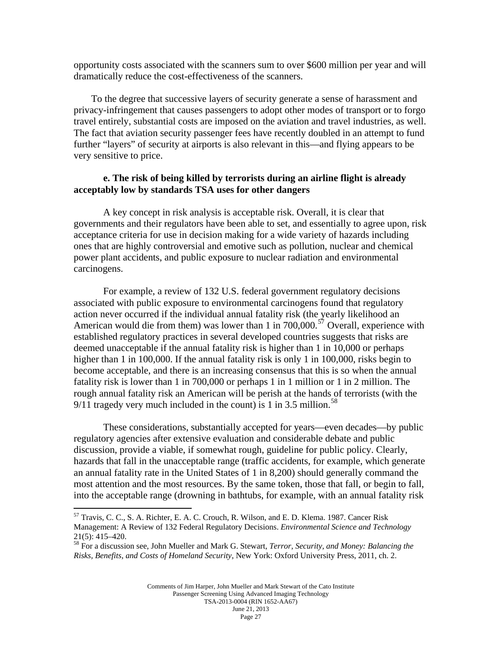opportunity costs associated with the scanners sum to over \$600 million per year and will dramatically reduce the cost-effectiveness of the scanners.

 To the degree that successive layers of security generate a sense of harassment and privacy-infringement that causes passengers to adopt other modes of transport or to forgo travel entirely, substantial costs are imposed on the aviation and travel industries, as well. The fact that aviation security passenger fees have recently doubled in an attempt to fund further "layers" of security at airports is also relevant in this—and flying appears to be very sensitive to price.

#### **e. The risk of being killed by terrorists during an airline flight is already acceptably low by standards TSA uses for other dangers**

 A key concept in risk analysis is acceptable risk. Overall, it is clear that governments and their regulators have been able to set, and essentially to agree upon, risk acceptance criteria for use in decision making for a wide variety of hazards including ones that are highly controversial and emotive such as pollution, nuclear and chemical power plant accidents, and public exposure to nuclear radiation and environmental carcinogens.

 For example, a review of 132 U.S. federal government regulatory decisions associated with public exposure to environmental carcinogens found that regulatory action never occurred if the individual annual fatality risk (the yearly likelihood an American would die from them) was lower than 1 in  $700,000$ .<sup>[57](#page-26-0)</sup> Overall, experience with established regulatory practices in several developed countries suggests that risks are deemed unacceptable if the annual fatality risk is higher than 1 in 10,000 or perhaps higher than 1 in 100,000. If the annual fatality risk is only 1 in 100,000, risks begin to become acceptable, and there is an increasing consensus that this is so when the annual fatality risk is lower than 1 in 700,000 or perhaps 1 in 1 million or 1 in 2 million. The rough annual fatality risk an American will be perish at the hands of terrorists (with the 9/11 tragedy very much included in the count) is 1 in 3.5 million.<sup>[58](#page-26-1)</sup>

 These considerations, substantially accepted for years—even decades—by public regulatory agencies after extensive evaluation and considerable debate and public discussion, provide a viable, if somewhat rough, guideline for public policy. Clearly, hazards that fall in the unacceptable range (traffic accidents, for example, which generate an annual fatality rate in the United States of 1 in 8,200) should generally command the most attention and the most resources. By the same token, those that fall, or begin to fall, into the acceptable range (drowning in bathtubs, for example, with an annual fatality risk

 $\overline{a}$ 

Passenger Screening Using Advanced Imaging Technology

TSA-2013-0004 (RIN 1652-AA67)

June 21, 2013

<span id="page-26-0"></span><sup>&</sup>lt;sup>57</sup> Travis, C. C., S. A. Richter, E. A. C. Crouch, R. Wilson, and E. D. Klema. 1987. Cancer Risk Management: A Review of 132 Federal Regulatory Decisions. *Environmental Science and Technology*  21(5): 415–420.

<span id="page-26-1"></span><sup>58</sup> For a discussion see, John Mueller and Mark G. Stewart, *Terror, Security, and Money: Balancing the Risks, Benefits, and Costs of Homeland Security*, New York: Oxford University Press, 2011, ch. 2.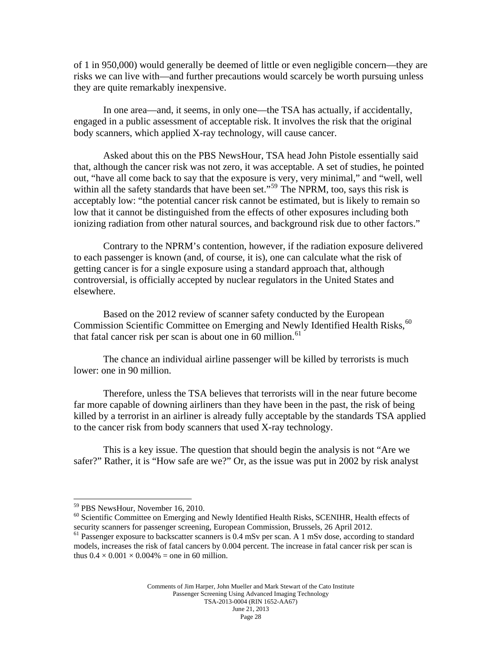of 1 in 950,000) would generally be deemed of little or even negligible concern—they are risks we can live with—and further precautions would scarcely be worth pursuing unless they are quite remarkably inexpensive.

 In one area—and, it seems, in only one—the TSA has actually, if accidentally, engaged in a public assessment of acceptable risk. It involves the risk that the original body scanners, which applied X-ray technology, will cause cancer.

 Asked about this on the PBS NewsHour, TSA head John Pistole essentially said that, although the cancer risk was not zero, it was acceptable. A set of studies, he pointed out, "have all come back to say that the exposure is very, very minimal," and "well, well within all the safety standards that have been set."<sup>[59](#page-27-0)</sup> The NPRM, too, says this risk is acceptably low: "the potential cancer risk cannot be estimated, but is likely to remain so low that it cannot be distinguished from the effects of other exposures including both ionizing radiation from other natural sources, and background risk due to other factors."

 Contrary to the NPRM's contention, however, if the radiation exposure delivered to each passenger is known (and, of course, it is), one can calculate what the risk of getting cancer is for a single exposure using a standard approach that, although controversial, is officially accepted by nuclear regulators in the United States and elsewhere.

 Based on the 2012 review of scanner safety conducted by the European Commission Scientific Committee on Emerging and Newly Identified Health Risks,<sup>[60](#page-27-1)</sup> that fatal cancer risk per scan is about one in 60 million.<sup>[61](#page-27-2)</sup>

 The chance an individual airline passenger will be killed by terrorists is much lower: one in 90 million.

 Therefore, unless the TSA believes that terrorists will in the near future become far more capable of downing airliners than they have been in the past, the risk of being killed by a terrorist in an airliner is already fully acceptable by the standards TSA applied to the cancer risk from body scanners that used X-ray technology.

 This is a key issue. The question that should begin the analysis is not "Are we safer?" Rather, it is "How safe are we?" Or, as the issue was put in 2002 by risk analyst

<sup>59</sup> PBS NewsHour, November 16, 2010.

<span id="page-27-1"></span><span id="page-27-0"></span> $60$  Scientific Committee on Emerging and Newly Identified Health Risks, SCENIHR, Health effects of security scanners for passenger screening, European Commission, Brussels, 26 April 2012.

<span id="page-27-2"></span> $61$  Passenger exposure to backscatter scanners is 0.4 mSv per scan. A 1 mSv dose, according to standard models, increases the risk of fatal cancers by 0.004 percent. The increase in fatal cancer risk per scan is thus  $0.4 \times 0.001 \times 0.004\% =$  one in 60 million.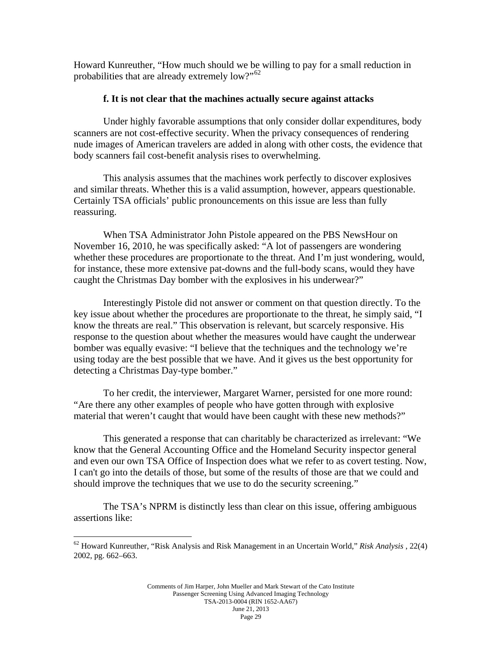Howard Kunreuther, "How much should we be willing to pay for a small reduction in probabilities that are already extremely low?"<sup>[62](#page-28-0)</sup>

### **f. It is not clear that the machines actually secure against attacks**

 Under highly favorable assumptions that only consider dollar expenditures, body scanners are not cost-effective security. When the privacy consequences of rendering nude images of American travelers are added in along with other costs, the evidence that body scanners fail cost-benefit analysis rises to overwhelming.

 This analysis assumes that the machines work perfectly to discover explosives and similar threats. Whether this is a valid assumption, however, appears questionable. Certainly TSA officials' public pronouncements on this issue are less than fully reassuring.

 When TSA Administrator John Pistole appeared on the PBS NewsHour on November 16, 2010, he was specifically asked: "A lot of passengers are wondering whether these procedures are proportionate to the threat. And I'm just wondering, would, for instance, these more extensive pat-downs and the full-body scans, would they have caught the Christmas Day bomber with the explosives in his underwear?"

Interestingly Pistole did not answer or comment on that question directly. To the key issue about whether the procedures are proportionate to the threat, he simply said, "I know the threats are real." This observation is relevant, but scarcely responsive. His response to the question about whether the measures would have caught the underwear bomber was equally evasive: "I believe that the techniques and the technology we're using today are the best possible that we have. And it gives us the best opportunity for detecting a Christmas Day-type bomber."

 To her credit, the interviewer, Margaret Warner, persisted for one more round: "Are there any other examples of people who have gotten through with explosive material that weren't caught that would have been caught with these new methods?"

This generated a response that can charitably be characterized as irrelevant: "We know that the General Accounting Office and the Homeland Security inspector general and even our own TSA Office of Inspection does what we refer to as covert testing. Now, I can't go into the details of those, but some of the results of those are that we could and should improve the techniques that we use to do the security screening."

 The TSA's NPRM is distinctly less than clear on this issue, offering ambiguous assertions like:

<span id="page-28-0"></span><sup>62</sup> Howard Kunreuther, "Risk Analysis and Risk Management in an Uncertain World," *Risk Analysis* , 22(4) 2002, pg. 662–663.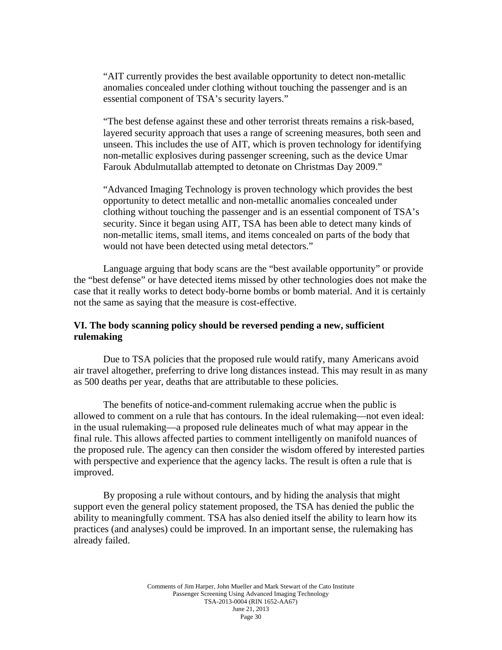"AIT currently provides the best available opportunity to detect non-metallic anomalies concealed under clothing without touching the passenger and is an essential component of TSA's security layers."

"The best defense against these and other terrorist threats remains a risk-based, layered security approach that uses a range of screening measures, both seen and unseen. This includes the use of AIT, which is proven technology for identifying non-metallic explosives during passenger screening, such as the device Umar Farouk Abdulmutallab attempted to detonate on Christmas Day 2009."

"Advanced Imaging Technology is proven technology which provides the best opportunity to detect metallic and non-metallic anomalies concealed under clothing without touching the passenger and is an essential component of TSA's security. Since it began using AIT, TSA has been able to detect many kinds of non-metallic items, small items, and items concealed on parts of the body that would not have been detected using metal detectors."

 Language arguing that body scans are the "best available opportunity" or provide the "best defense" or have detected items missed by other technologies does not make the case that it really works to detect body-borne bombs or bomb material. And it is certainly not the same as saying that the measure is cost-effective.

# **VI. The body scanning policy should be reversed pending a new, sufficient rulemaking**

 Due to TSA policies that the proposed rule would ratify, many Americans avoid air travel altogether, preferring to drive long distances instead. This may result in as many as 500 deaths per year, deaths that are attributable to these policies.

 The benefits of notice-and-comment rulemaking accrue when the public is allowed to comment on a rule that has contours. In the ideal rulemaking—not even ideal: in the usual rulemaking—a proposed rule delineates much of what may appear in the final rule. This allows affected parties to comment intelligently on manifold nuances of the proposed rule. The agency can then consider the wisdom offered by interested parties with perspective and experience that the agency lacks. The result is often a rule that is improved.

By proposing a rule without contours, and by hiding the analysis that might support even the general policy statement proposed, the TSA has denied the public the ability to meaningfully comment. TSA has also denied itself the ability to learn how its practices (and analyses) could be improved. In an important sense, the rulemaking has already failed.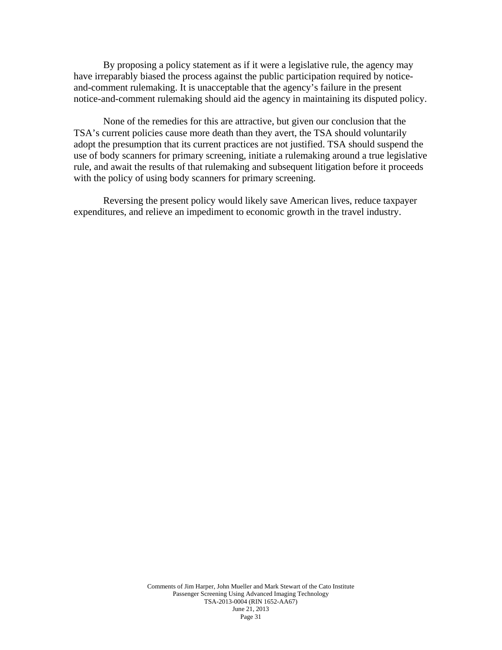By proposing a policy statement as if it were a legislative rule, the agency may have irreparably biased the process against the public participation required by noticeand-comment rulemaking. It is unacceptable that the agency's failure in the present notice-and-comment rulemaking should aid the agency in maintaining its disputed policy.

None of the remedies for this are attractive, but given our conclusion that the TSA's current policies cause more death than they avert, the TSA should voluntarily adopt the presumption that its current practices are not justified. TSA should suspend the use of body scanners for primary screening, initiate a rulemaking around a true legislative rule, and await the results of that rulemaking and subsequent litigation before it proceeds with the policy of using body scanners for primary screening.

Reversing the present policy would likely save American lives, reduce taxpayer expenditures, and relieve an impediment to economic growth in the travel industry.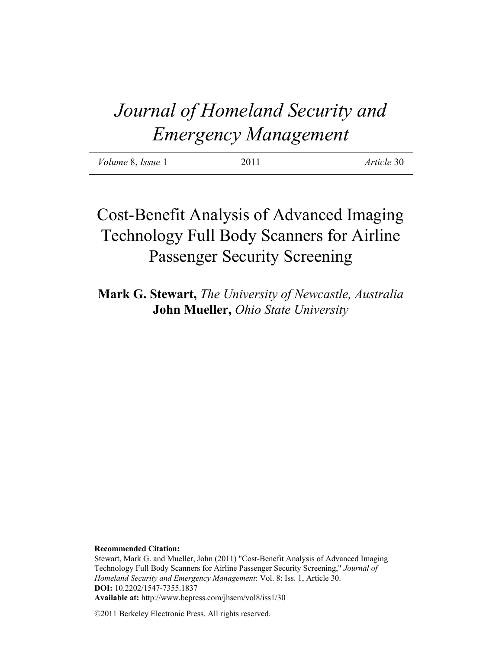# *Journal of Homeland Security and Emergency Management*

| Volume 8, Issue 1 | 2011 | Article 30 |
|-------------------|------|------------|
|                   |      |            |

# Cost-Benefit Analysis of Advanced Imaging Technology Full Body Scanners for Airline Passenger Security Screening

**Mark G. Stewart,** *The University of Newcastle, Australia* **John Mueller,** *Ohio State University*

**Recommended Citation:**

Stewart, Mark G. and Mueller, John (2011) "Cost-Benefit Analysis of Advanced Imaging Technology Full Body Scanners for Airline Passenger Security Screening," *Journal of Homeland Security and Emergency Management*: Vol. 8: Iss. 1, Article 30. **DOI:** 10.2202/1547-7355.1837 **Available at:** http://www.bepress.com/jhsem/vol8/iss1/30

©2011 Berkeley Electronic Press. All rights reserved.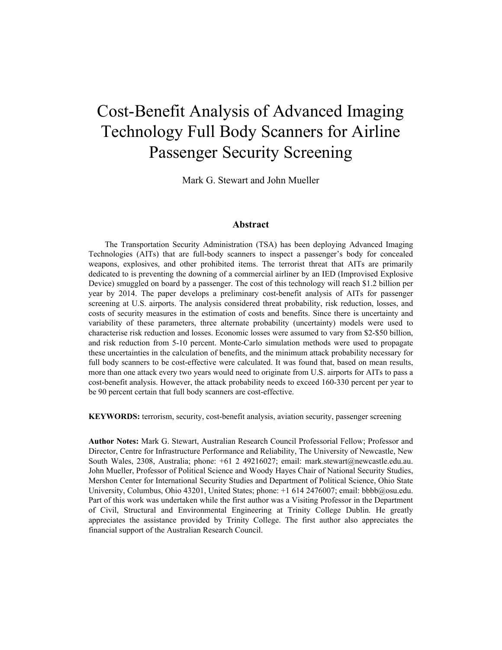# Cost-Benefit Analysis of Advanced Imaging Technology Full Body Scanners for Airline Passenger Security Screening

Mark G. Stewart and John Mueller

#### **Abstract**

The Transportation Security Administration (TSA) has been deploying Advanced Imaging Technologies (AITs) that are full-body scanners to inspect a passenger's body for concealed weapons, explosives, and other prohibited items. The terrorist threat that AITs are primarily dedicated to is preventing the downing of a commercial airliner by an IED (Improvised Explosive Device) smuggled on board by a passenger. The cost of this technology will reach \$1.2 billion per year by 2014. The paper develops a preliminary cost-benefit analysis of AITs for passenger screening at U.S. airports. The analysis considered threat probability, risk reduction, losses, and costs of security measures in the estimation of costs and benefits. Since there is uncertainty and variability of these parameters, three alternate probability (uncertainty) models were used to characterise risk reduction and losses. Economic losses were assumed to vary from \$2-\$50 billion, and risk reduction from 5-10 percent. Monte-Carlo simulation methods were used to propagate these uncertainties in the calculation of benefits, and the minimum attack probability necessary for full body scanners to be cost-effective were calculated. It was found that, based on mean results, more than one attack every two years would need to originate from U.S. airports for AITs to pass a cost-benefit analysis. However, the attack probability needs to exceed 160-330 percent per year to be 90 percent certain that full body scanners are cost-effective.

**KEYWORDS:** terrorism, security, cost-benefit analysis, aviation security, passenger screening

**Author Notes:** Mark G. Stewart, Australian Research Council Professorial Fellow; Professor and Director, Centre for Infrastructure Performance and Reliability, The University of Newcastle, New South Wales, 2308, Australia; phone: +61 2 49216027; email: mark.stewart@newcastle.edu.au. John Mueller, Professor of Political Science and Woody Hayes Chair of National Security Studies, Mershon Center for International Security Studies and Department of Political Science, Ohio State University, Columbus, Ohio 43201, United States; phone: +1 614 2476007; email: bbbb@osu.edu. Part of this work was undertaken while the first author was a Visiting Professor in the Department of Civil, Structural and Environmental Engineering at Trinity College Dublin. He greatly appreciates the assistance provided by Trinity College. The first author also appreciates the financial support of the Australian Research Council.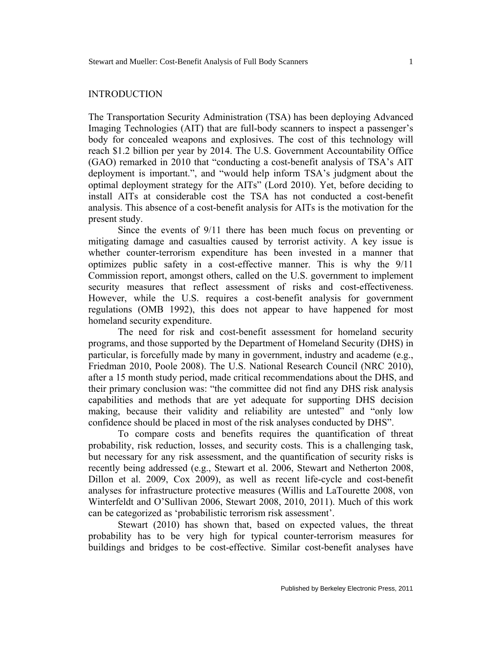#### **INTRODUCTION**

The Transportation Security Administration (TSA) has been deploying Advanced Imaging Technologies (AIT) that are full-body scanners to inspect a passenger's body for concealed weapons and explosives. The cost of this technology will reach \$1.2 billion per year by 2014. The U.S. Government Accountability Office (GAO) remarked in 2010 that "conducting a cost-benefit analysis of TSA's AIT deployment is important.", and "would help inform TSA's judgment about the optimal deployment strategy for the AITs" (Lord 2010). Yet, before deciding to install AITs at considerable cost the TSA has not conducted a cost-benefit analysis. This absence of a cost-benefit analysis for AITs is the motivation for the present study.

Since the events of 9/11 there has been much focus on preventing or mitigating damage and casualties caused by terrorist activity. A key issue is whether counter-terrorism expenditure has been invested in a manner that optimizes public safety in a cost-effective manner. This is why the 9/11 Commission report, amongst others, called on the U.S. government to implement security measures that reflect assessment of risks and cost-effectiveness. However, while the U.S. requires a cost-benefit analysis for government regulations (OMB 1992), this does not appear to have happened for most homeland security expenditure.

The need for risk and cost-benefit assessment for homeland security programs, and those supported by the Department of Homeland Security (DHS) in particular, is forcefully made by many in government, industry and academe (e.g., Friedman 2010, Poole 2008). The U.S. National Research Council (NRC 2010), after a 15 month study period, made critical recommendations about the DHS, and their primary conclusion was: "the committee did not find any DHS risk analysis capabilities and methods that are yet adequate for supporting DHS decision making, because their validity and reliability are untested" and "only low confidence should be placed in most of the risk analyses conducted by DHS".

To compare costs and benefits requires the quantification of threat probability, risk reduction, losses, and security costs. This is a challenging task, but necessary for any risk assessment, and the quantification of security risks is recently being addressed (e.g., Stewart et al. 2006, Stewart and Netherton 2008, Dillon et al. 2009, Cox 2009), as well as recent life-cycle and cost-benefit analyses for infrastructure protective measures (Willis and LaTourette 2008, von Winterfeldt and O'Sullivan 2006, Stewart 2008, 2010, 2011). Much of this work can be categorized as 'probabilistic terrorism risk assessment'.

Stewart (2010) has shown that, based on expected values, the threat probability has to be very high for typical counter-terrorism measures for buildings and bridges to be cost-effective. Similar cost-benefit analyses have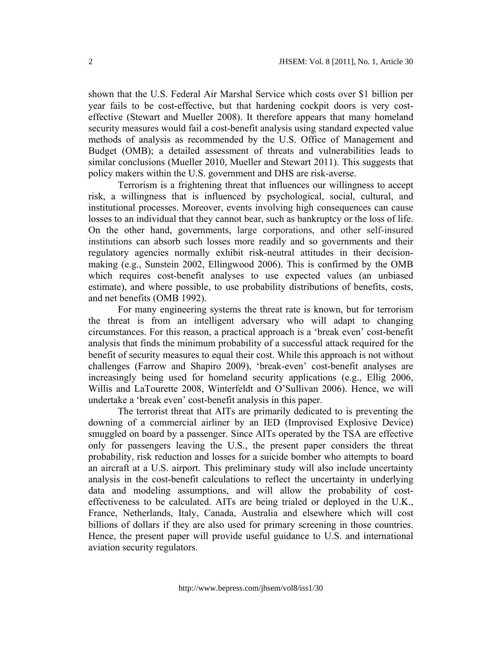shown that the U.S. Federal Air Marshal Service which costs over \$1 billion per year fails to be cost-effective, but that hardening cockpit doors is very costeffective (Stewart and Mueller 2008). It therefore appears that many homeland security measures would fail a cost-benefit analysis using standard expected value methods of analysis as recommended by the U.S. Office of Management and Budget (OMB); a detailed assessment of threats and vulnerabilities leads to similar conclusions (Mueller 2010, Mueller and Stewart 2011). This suggests that policy makers within the U.S. government and DHS are risk-averse.

Terrorism is a frightening threat that influences our willingness to accept risk, a willingness that is influenced by psychological, social, cultural, and institutional processes. Moreover, events involving high consequences can cause losses to an individual that they cannot bear, such as bankruptcy or the loss of life. On the other hand, governments, large corporations, and other self-insured institutions can absorb such losses more readily and so governments and their regulatory agencies normally exhibit risk-neutral attitudes in their decisionmaking (e.g., Sunstein 2002, Ellingwood 2006). This is confirmed by the OMB which requires cost-benefit analyses to use expected values (an unbiased estimate), and where possible, to use probability distributions of benefits, costs, and net benefits (OMB 1992).

For many engineering systems the threat rate is known, but for terrorism the threat is from an intelligent adversary who will adapt to changing circumstances. For this reason, a practical approach is a 'break even' cost-benefit analysis that finds the minimum probability of a successful attack required for the benefit of security measures to equal their cost. While this approach is not without challenges (Farrow and Shapiro 2009), 'break-even' cost-benefit analyses are increasingly being used for homeland security applications (e.g., Ellig 2006, Willis and LaTourette 2008, Winterfeldt and O'Sullivan 2006). Hence, we will undertake a 'break even' cost-benefit analysis in this paper.

The terrorist threat that AITs are primarily dedicated to is preventing the downing of a commercial airliner by an IED (Improvised Explosive Device) smuggled on board by a passenger. Since AITs operated by the TSA are effective only for passengers leaving the U.S., the present paper considers the threat probability, risk reduction and losses for a suicide bomber who attempts to board an aircraft at a U.S. airport. This preliminary study will also include uncertainty analysis in the cost-benefit calculations to reflect the uncertainty in underlying data and modeling assumptions, and will allow the probability of costeffectiveness to be calculated. AITs are being trialed or deployed in the U.K., France, Netherlands, Italy, Canada, Australia and elsewhere which will cost billions of dollars if they are also used for primary screening in those countries. Hence, the present paper will provide useful guidance to U.S. and international aviation security regulators.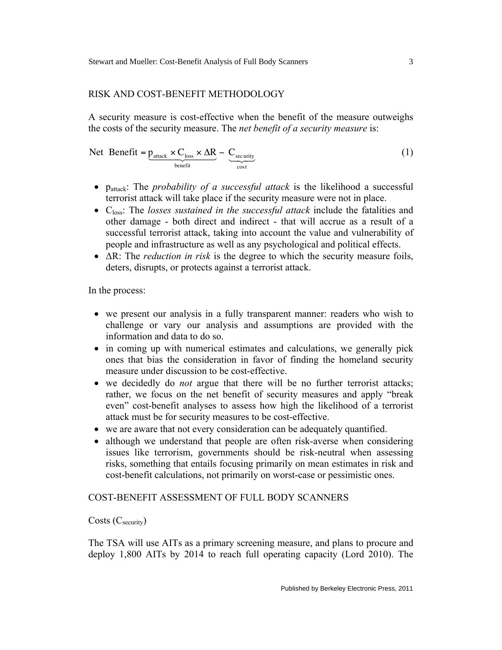# RISK AND COST-BENEFIT METHODOLOGY

A security measure is cost-effective when the benefit of the measure outweighs the costs of the security measure. The *net benefit of a security measure* is:

$$
\text{Net} \quad \text{Benefit} = \underbrace{p_{\text{attack}} \times C_{\text{loss}} \times \Delta R}_{\text{benéfit}} - \underbrace{C_{\text{security}}}_{\text{cost}} \tag{1}
$$

- pattack: The *probability of a successful attack* is the likelihood a successful terrorist attack will take place if the security measure were not in place.
- C<sub>loss</sub>: The *losses sustained in the successful attack* include the fatalities and other damage - both direct and indirect - that will accrue as a result of a successful terrorist attack, taking into account the value and vulnerability of people and infrastructure as well as any psychological and political effects.
- ΔR: The *reduction in risk* is the degree to which the security measure foils, deters, disrupts, or protects against a terrorist attack.

In the process:

- we present our analysis in a fully transparent manner: readers who wish to challenge or vary our analysis and assumptions are provided with the information and data to do so.
- in coming up with numerical estimates and calculations, we generally pick ones that bias the consideration in favor of finding the homeland security measure under discussion to be cost-effective.
- we decidedly do *not* argue that there will be no further terrorist attacks; rather, we focus on the net benefit of security measures and apply "break even" cost-benefit analyses to assess how high the likelihood of a terrorist attack must be for security measures to be cost-effective.
- we are aware that not every consideration can be adequately quantified.
- although we understand that people are often risk-averse when considering issues like terrorism, governments should be risk-neutral when assessing risks, something that entails focusing primarily on mean estimates in risk and cost-benefit calculations, not primarily on worst-case or pessimistic ones.

# COST-BENEFIT ASSESSMENT OF FULL BODY SCANNERS

#### $Costs (C<sub>security</sub>)$

The TSA will use AITs as a primary screening measure, and plans to procure and deploy 1,800 AITs by 2014 to reach full operating capacity (Lord 2010). The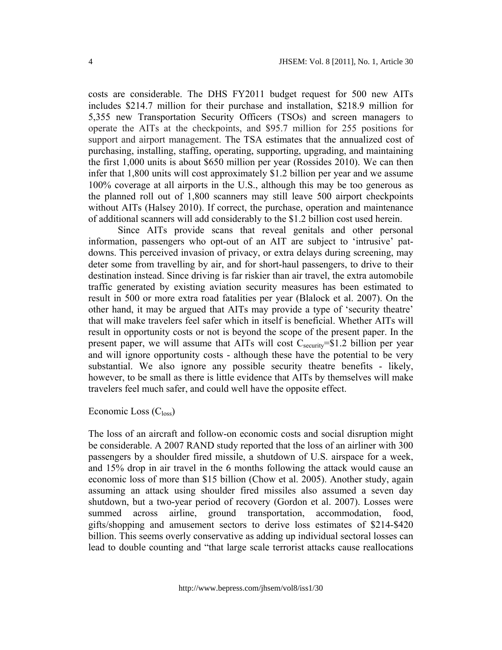costs are considerable. The DHS FY2011 budget request for 500 new AITs includes \$214.7 million for their purchase and installation, \$218.9 million for 5,355 new Transportation Security Officers (TSOs) and screen managers to operate the AITs at the checkpoints, and \$95.7 million for 255 positions for support and airport management. The TSA estimates that the annualized cost of purchasing, installing, staffing, operating, supporting, upgrading, and maintaining the first 1,000 units is about \$650 million per year (Rossides 2010). We can then infer that 1,800 units will cost approximately \$1.2 billion per year and we assume 100% coverage at all airports in the U.S., although this may be too generous as the planned roll out of 1,800 scanners may still leave 500 airport checkpoints without AITs (Halsey 2010). If correct, the purchase, operation and maintenance of additional scanners will add considerably to the \$1.2 billion cost used herein.

Since AITs provide scans that reveal genitals and other personal information, passengers who opt-out of an AIT are subject to 'intrusive' patdowns. This perceived invasion of privacy, or extra delays during screening, may deter some from travelling by air, and for short-haul passengers, to drive to their destination instead. Since driving is far riskier than air travel, the extra automobile traffic generated by existing aviation security measures has been estimated to result in 500 or more extra road fatalities per year (Blalock et al. 2007). On the other hand, it may be argued that AITs may provide a type of 'security theatre' that will make travelers feel safer which in itself is beneficial. Whether AITs will result in opportunity costs or not is beyond the scope of the present paper. In the present paper, we will assume that AITs will cost  $C_{\text{security}} = $1.2$  billion per year and will ignore opportunity costs - although these have the potential to be very substantial. We also ignore any possible security theatre benefits - likely, however, to be small as there is little evidence that AITs by themselves will make travelers feel much safer, and could well have the opposite effect.

Economic Loss  $(C<sub>loss</sub>)$ 

The loss of an aircraft and follow-on economic costs and social disruption might be considerable. A 2007 RAND study reported that the loss of an airliner with 300 passengers by a shoulder fired missile, a shutdown of U.S. airspace for a week, and 15% drop in air travel in the 6 months following the attack would cause an economic loss of more than \$15 billion (Chow et al. 2005). Another study, again assuming an attack using shoulder fired missiles also assumed a seven day shutdown, but a two-year period of recovery (Gordon et al. 2007). Losses were summed across airline, ground transportation, accommodation, food, gifts/shopping and amusement sectors to derive loss estimates of \$214-\$420 billion. This seems overly conservative as adding up individual sectoral losses can lead to double counting and "that large scale terrorist attacks cause reallocations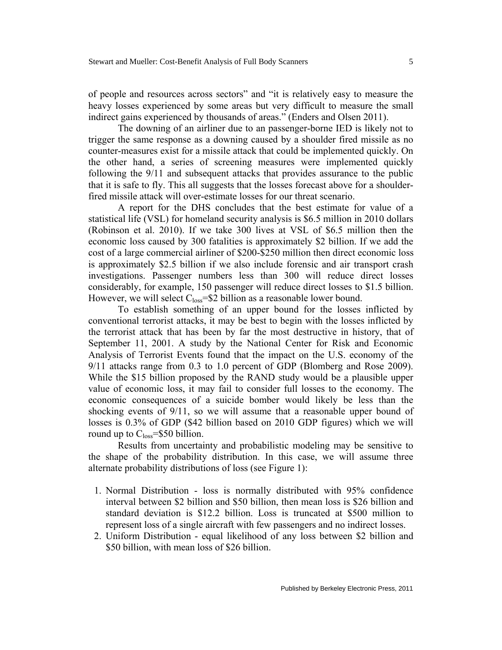of people and resources across sectors" and "it is relatively easy to measure the heavy losses experienced by some areas but very difficult to measure the small indirect gains experienced by thousands of areas." (Enders and Olsen 2011).

The downing of an airliner due to an passenger-borne IED is likely not to trigger the same response as a downing caused by a shoulder fired missile as no counter-measures exist for a missile attack that could be implemented quickly. On the other hand, a series of screening measures were implemented quickly following the 9/11 and subsequent attacks that provides assurance to the public that it is safe to fly. This all suggests that the losses forecast above for a shoulderfired missile attack will over-estimate losses for our threat scenario.

A report for the DHS concludes that the best estimate for value of a statistical life (VSL) for homeland security analysis is \$6.5 million in 2010 dollars (Robinson et al. 2010). If we take 300 lives at VSL of \$6.5 million then the economic loss caused by 300 fatalities is approximately \$2 billion. If we add the cost of a large commercial airliner of \$200-\$250 million then direct economic loss is approximately \$2.5 billion if we also include forensic and air transport crash investigations. Passenger numbers less than 300 will reduce direct losses considerably, for example, 150 passenger will reduce direct losses to \$1.5 billion. However, we will select  $C<sub>loss</sub>= $2$  billion as a reasonable lower bound.

To establish something of an upper bound for the losses inflicted by conventional terrorist attacks, it may be best to begin with the losses inflicted by the terrorist attack that has been by far the most destructive in history, that of September 11, 2001. A study by the National Center for Risk and Economic Analysis of Terrorist Events found that the impact on the U.S. economy of the 9/11 attacks range from 0.3 to 1.0 percent of GDP (Blomberg and Rose 2009). While the \$15 billion proposed by the RAND study would be a plausible upper value of economic loss, it may fail to consider full losses to the economy. The economic consequences of a suicide bomber would likely be less than the shocking events of 9/11, so we will assume that a reasonable upper bound of losses is 0.3% of GDP (\$42 billion based on 2010 GDP figures) which we will round up to  $C<sub>loss</sub>=$50 billion.$ 

Results from uncertainty and probabilistic modeling may be sensitive to the shape of the probability distribution. In this case, we will assume three alternate probability distributions of loss (see Figure 1):

- 1. Normal Distribution loss is normally distributed with 95% confidence interval between \$2 billion and \$50 billion, then mean loss is \$26 billion and standard deviation is \$12.2 billion. Loss is truncated at \$500 million to represent loss of a single aircraft with few passengers and no indirect losses.
- 2. Uniform Distribution equal likelihood of any loss between \$2 billion and \$50 billion, with mean loss of \$26 billion.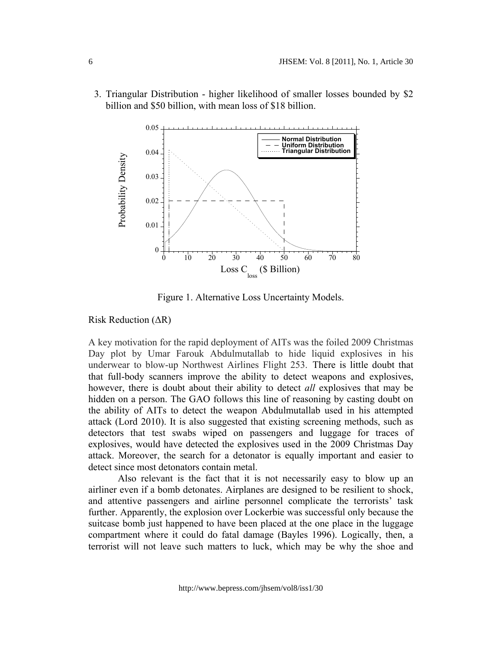3. Triangular Distribution - higher likelihood of smaller losses bounded by \$2 billion and \$50 billion, with mean loss of \$18 billion.



Figure 1. Alternative Loss Uncertainty Models.

# Risk Reduction (ΔR)

A key motivation for the rapid deployment of AITs was the foiled 2009 Christmas Day plot by Umar Farouk Abdulmutallab to hide liquid explosives in his underwear to blow-up Northwest Airlines Flight 253. There is little doubt that that full-body scanners improve the ability to detect weapons and explosives, however, there is doubt about their ability to detect *all* explosives that may be hidden on a person. The GAO follows this line of reasoning by casting doubt on the ability of AITs to detect the weapon Abdulmutallab used in his attempted attack (Lord 2010). It is also suggested that existing screening methods, such as detectors that test swabs wiped on passengers and luggage for traces of explosives, would have detected the explosives used in the 2009 Christmas Day attack. Moreover, the search for a detonator is equally important and easier to detect since most detonators contain metal.

Also relevant is the fact that it is not necessarily easy to blow up an airliner even if a bomb detonates. Airplanes are designed to be resilient to shock, and attentive passengers and airline personnel complicate the terrorists' task further. Apparently, the explosion over Lockerbie was successful only because the suitcase bomb just happened to have been placed at the one place in the luggage compartment where it could do fatal damage (Bayles 1996). Logically, then, a terrorist will not leave such matters to luck, which may be why the shoe and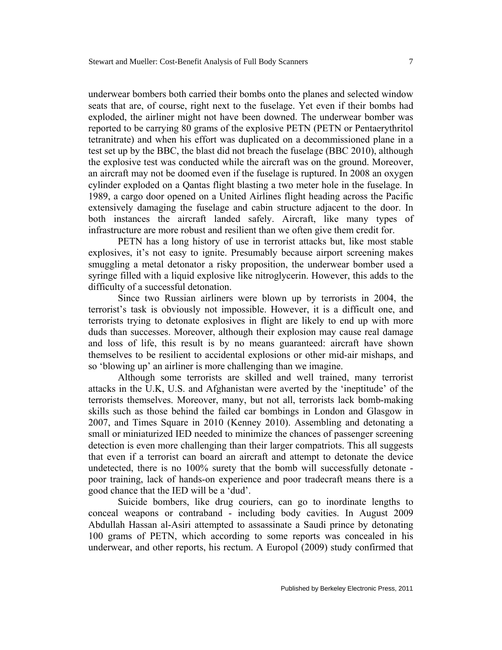underwear bombers both carried their bombs onto the planes and selected window seats that are, of course, right next to the fuselage. Yet even if their bombs had exploded, the airliner might not have been downed. The underwear bomber was reported to be carrying 80 grams of the explosive PETN (PETN or Pentaerythritol tetranitrate) and when his effort was duplicated on a decommissioned plane in a test set up by the BBC, the blast did not breach the fuselage (BBC 2010), although the explosive test was conducted while the aircraft was on the ground. Moreover, an aircraft may not be doomed even if the fuselage is ruptured. In 2008 an oxygen cylinder exploded on a Qantas flight blasting a two meter hole in the fuselage. In 1989, a cargo door opened on a United Airlines flight heading across the Pacific extensively damaging the fuselage and cabin structure adjacent to the door. In both instances the aircraft landed safely. Aircraft, like many types of infrastructure are more robust and resilient than we often give them credit for.

PETN has a long history of use in terrorist attacks but, like most stable explosives, it's not easy to ignite. Presumably because airport screening makes smuggling a metal detonator a risky proposition, the underwear bomber used a syringe filled with a liquid explosive like nitroglycerin. However, this adds to the difficulty of a successful detonation.

Since two Russian airliners were blown up by terrorists in 2004, the terrorist's task is obviously not impossible. However, it is a difficult one, and terrorists trying to detonate explosives in flight are likely to end up with more duds than successes. Moreover, although their explosion may cause real damage and loss of life, this result is by no means guaranteed: aircraft have shown themselves to be resilient to accidental explosions or other mid-air mishaps, and so 'blowing up' an airliner is more challenging than we imagine.

Although some terrorists are skilled and well trained, many terrorist attacks in the U.K, U.S. and Afghanistan were averted by the 'ineptitude' of the terrorists themselves. Moreover, many, but not all, terrorists lack bomb-making skills such as those behind the failed car bombings in London and Glasgow in 2007, and Times Square in 2010 (Kenney 2010). Assembling and detonating a small or miniaturized IED needed to minimize the chances of passenger screening detection is even more challenging than their larger compatriots. This all suggests that even if a terrorist can board an aircraft and attempt to detonate the device undetected, there is no 100% surety that the bomb will successfully detonate poor training, lack of hands-on experience and poor tradecraft means there is a good chance that the IED will be a 'dud'.

Suicide bombers, like drug couriers, can go to inordinate lengths to conceal weapons or contraband - including body cavities. In August 2009 Abdullah Hassan al-Asiri attempted to assassinate a Saudi prince by detonating 100 grams of PETN, which according to some reports was concealed in his underwear, and other reports, his rectum. A Europol (2009) study confirmed that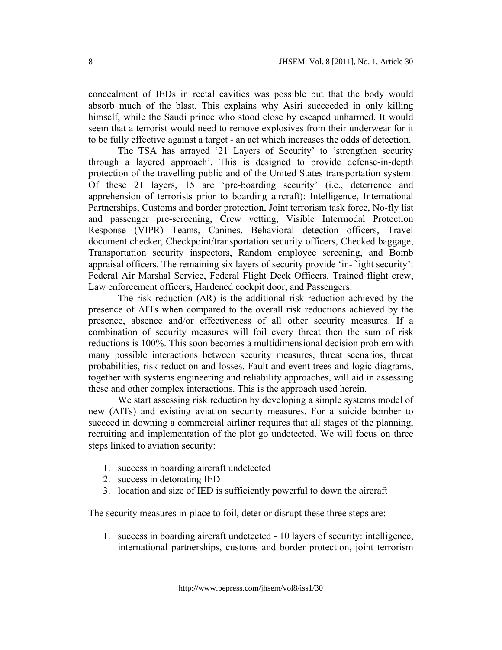concealment of IEDs in rectal cavities was possible but that the body would absorb much of the blast. This explains why Asiri succeeded in only killing himself, while the Saudi prince who stood close by escaped unharmed. It would seem that a terrorist would need to remove explosives from their underwear for it to be fully effective against a target - an act which increases the odds of detection.

The TSA has arrayed '21 Layers of Security' to 'strengthen security through a layered approach'. This is designed to provide defense-in-depth protection of the travelling public and of the United States transportation system. Of these 21 layers, 15 are 'pre-boarding security' (i.e., deterrence and apprehension of terrorists prior to boarding aircraft): Intelligence, International Partnerships, Customs and border protection, Joint terrorism task force, No-fly list and passenger pre-screening, Crew vetting, Visible Intermodal Protection Response (VIPR) Teams, Canines, Behavioral detection officers, Travel document checker, Checkpoint/transportation security officers, Checked baggage, Transportation security inspectors, Random employee screening, and Bomb appraisal officers. The remaining six layers of security provide 'in-flight security': Federal Air Marshal Service, Federal Flight Deck Officers, Trained flight crew, Law enforcement officers, Hardened cockpit door, and Passengers.

The risk reduction  $(AR)$  is the additional risk reduction achieved by the presence of AITs when compared to the overall risk reductions achieved by the presence, absence and/or effectiveness of all other security measures. If a combination of security measures will foil every threat then the sum of risk reductions is 100%. This soon becomes a multidimensional decision problem with many possible interactions between security measures, threat scenarios, threat probabilities, risk reduction and losses. Fault and event trees and logic diagrams, together with systems engineering and reliability approaches, will aid in assessing these and other complex interactions. This is the approach used herein.

We start assessing risk reduction by developing a simple systems model of new (AITs) and existing aviation security measures. For a suicide bomber to succeed in downing a commercial airliner requires that all stages of the planning, recruiting and implementation of the plot go undetected. We will focus on three steps linked to aviation security:

- 1. success in boarding aircraft undetected
- 2. success in detonating IED
- 3. location and size of IED is sufficiently powerful to down the aircraft

The security measures in-place to foil, deter or disrupt these three steps are:

1. success in boarding aircraft undetected - 10 layers of security: intelligence, international partnerships, customs and border protection, joint terrorism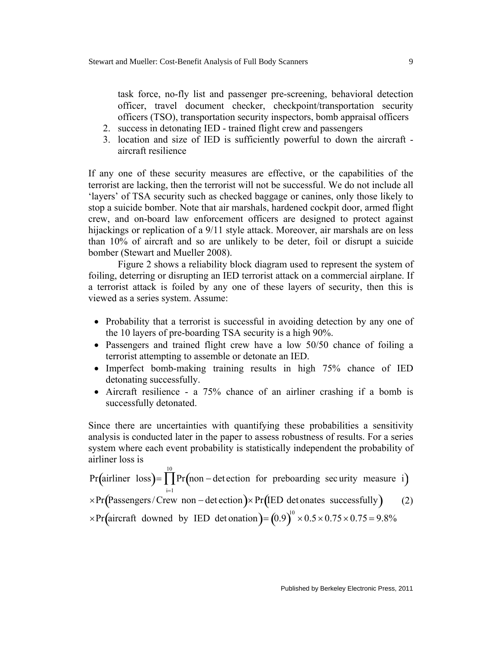task force, no-fly list and passenger pre-screening, behavioral detection officer, travel document checker, checkpoint/transportation security officers (TSO), transportation security inspectors, bomb appraisal officers

- 2. success in detonating IED trained flight crew and passengers
- 3. location and size of IED is sufficiently powerful to down the aircraft aircraft resilience

If any one of these security measures are effective, or the capabilities of the terrorist are lacking, then the terrorist will not be successful. We do not include all 'layers' of TSA security such as checked baggage or canines, only those likely to stop a suicide bomber. Note that air marshals, hardened cockpit door, armed flight crew, and on-board law enforcement officers are designed to protect against hijackings or replication of a 9/11 style attack. Moreover, air marshals are on less than 10% of aircraft and so are unlikely to be deter, foil or disrupt a suicide bomber (Stewart and Mueller 2008).

Figure 2 shows a reliability block diagram used to represent the system of foiling, deterring or disrupting an IED terrorist attack on a commercial airplane. If a terrorist attack is foiled by any one of these layers of security, then this is viewed as a series system. Assume:

- Probability that a terrorist is successful in avoiding detection by any one of the 10 layers of pre-boarding TSA security is a high 90%.
- Passengers and trained flight crew have a low 50/50 chance of foiling a terrorist attempting to assemble or detonate an IED.
- Imperfect bomb-making training results in high 75% chance of IED detonating successfully.
- Aircraft resilience a 75% chance of an airliner crashing if a bomb is successfully detonated.

Since there are uncertainties with quantifying these probabilities a sensitivity analysis is conducted later in the paper to assess robustness of results. For a series system where each event probability is statistically independent the probability of airliner loss is

Pr(airliner loss) = 
$$
\prod_{i=1}^{10} Pr
$$
(non-detection for preboarding security measure i)  
\n×Pr(Passengers/Crew non-detection)×Pr(IED det onates successfully) (2)  
\n×Pr(aircraft downed by IED det onation) = (0.9)<sup>10</sup> × 0.5 × 0.75 × 0.75 = 9.8%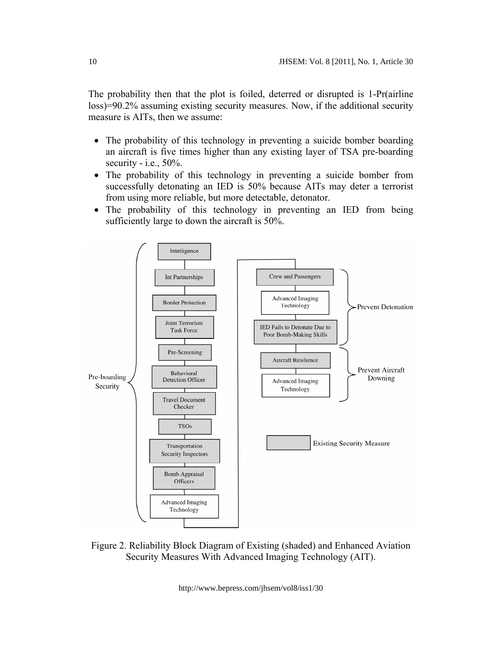The probability then that the plot is foiled, deterred or disrupted is 1-Pr(airline loss)=90.2% assuming existing security measures. Now, if the additional security measure is AITs, then we assume:

- The probability of this technology in preventing a suicide bomber boarding an aircraft is five times higher than any existing layer of TSA pre-boarding security - i.e.,  $50\%$ .
- The probability of this technology in preventing a suicide bomber from successfully detonating an IED is 50% because AITs may deter a terrorist from using more reliable, but more detectable, detonator.
- The probability of this technology in preventing an IED from being sufficiently large to down the aircraft is 50%.



Figure 2. Reliability Block Diagram of Existing (shaded) and Enhanced Aviation Security Measures With Advanced Imaging Technology (AIT).

http://www.bepress.com/jhsem/vol8/iss1/30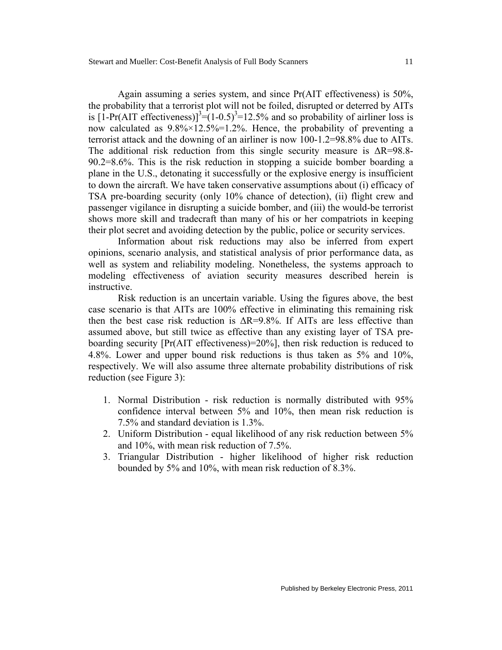Again assuming a series system, and since Pr(AIT effectiveness) is 50%, the probability that a terrorist plot will not be foiled, disrupted or deterred by AITs is  $[1-Pr(AIT$  effectiveness)]<sup>3</sup>= $(1-0.5)^3$ =12.5% and so probability of airliner loss is now calculated as 9.8%×12.5%=1.2%. Hence, the probability of preventing a terrorist attack and the downing of an airliner is now 100-1.2=98.8% due to AITs. The additional risk reduction from this single security measure is  $\Delta R = 98.8$ -90.2=8.6%. This is the risk reduction in stopping a suicide bomber boarding a plane in the U.S., detonating it successfully or the explosive energy is insufficient to down the aircraft. We have taken conservative assumptions about (i) efficacy of TSA pre-boarding security (only 10% chance of detection), (ii) flight crew and passenger vigilance in disrupting a suicide bomber, and (iii) the would-be terrorist shows more skill and tradecraft than many of his or her compatriots in keeping their plot secret and avoiding detection by the public, police or security services.

Information about risk reductions may also be inferred from expert opinions, scenario analysis, and statistical analysis of prior performance data, as well as system and reliability modeling. Nonetheless, the systems approach to modeling effectiveness of aviation security measures described herein is instructive.

Risk reduction is an uncertain variable. Using the figures above, the best case scenario is that AITs are 100% effective in eliminating this remaining risk then the best case risk reduction is  $\Delta R = 9.8\%$ . If AITs are less effective than assumed above, but still twice as effective than any existing layer of TSA preboarding security [Pr(AIT effectiveness)=20%], then risk reduction is reduced to 4.8%. Lower and upper bound risk reductions is thus taken as 5% and 10%, respectively. We will also assume three alternate probability distributions of risk reduction (see Figure 3):

- 1. Normal Distribution risk reduction is normally distributed with 95% confidence interval between 5% and 10%, then mean risk reduction is 7.5% and standard deviation is 1.3%.
- 2. Uniform Distribution equal likelihood of any risk reduction between 5% and 10%, with mean risk reduction of 7.5%.
- 3. Triangular Distribution higher likelihood of higher risk reduction bounded by 5% and 10%, with mean risk reduction of 8.3%.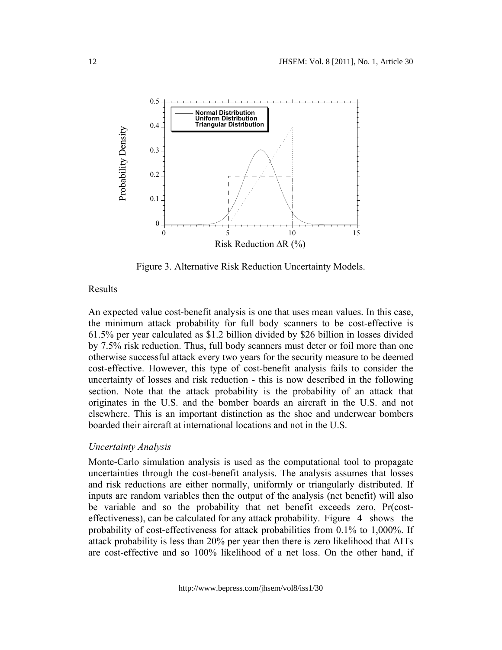

Figure 3. Alternative Risk Reduction Uncertainty Models.

#### Results

An expected value cost-benefit analysis is one that uses mean values. In this case, the minimum attack probability for full body scanners to be cost-effective is 61.5% per year calculated as \$1.2 billion divided by \$26 billion in losses divided by 7.5% risk reduction. Thus, full body scanners must deter or foil more than one otherwise successful attack every two years for the security measure to be deemed cost-effective. However, this type of cost-benefit analysis fails to consider the uncertainty of losses and risk reduction - this is now described in the following section. Note that the attack probability is the probability of an attack that originates in the U.S. and the bomber boards an aircraft in the U.S. and not elsewhere. This is an important distinction as the shoe and underwear bombers boarded their aircraft at international locations and not in the U.S.

#### *Uncertainty Analysis*

Monte-Carlo simulation analysis is used as the computational tool to propagate uncertainties through the cost-benefit analysis. The analysis assumes that losses and risk reductions are either normally, uniformly or triangularly distributed. If inputs are random variables then the output of the analysis (net benefit) will also be variable and so the probability that net benefit exceeds zero, Pr(costeffectiveness), can be calculated for any attack probability. Figure 4 shows the probability of cost-effectiveness for attack probabilities from 0.1% to 1,000%. If attack probability is less than 20% per year then there is zero likelihood that AITs are cost-effective and so 100% likelihood of a net loss. On the other hand, if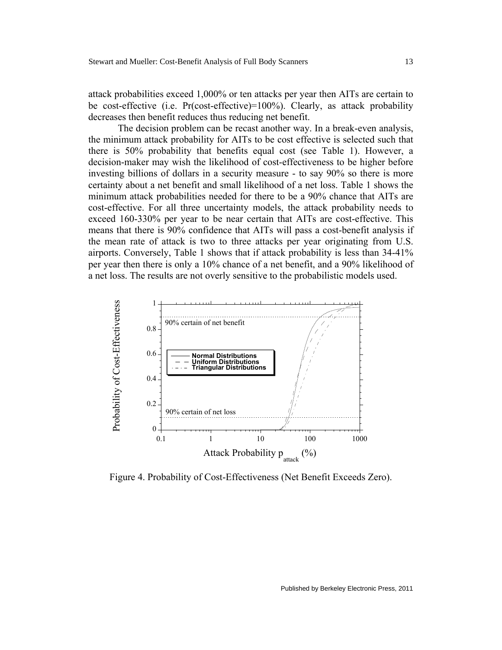attack probabilities exceed 1,000% or ten attacks per year then AITs are certain to be cost-effective (i.e. Pr(cost-effective)=100%). Clearly, as attack probability decreases then benefit reduces thus reducing net benefit.

The decision problem can be recast another way. In a break-even analysis, the minimum attack probability for AITs to be cost effective is selected such that there is 50% probability that benefits equal cost (see Table 1). However, a decision-maker may wish the likelihood of cost-effectiveness to be higher before investing billions of dollars in a security measure - to say 90% so there is more certainty about a net benefit and small likelihood of a net loss. Table 1 shows the minimum attack probabilities needed for there to be a 90% chance that AITs are cost-effective. For all three uncertainty models, the attack probability needs to exceed 160-330% per year to be near certain that AITs are cost-effective. This means that there is 90% confidence that AITs will pass a cost-benefit analysis if the mean rate of attack is two to three attacks per year originating from U.S. airports. Conversely, Table 1 shows that if attack probability is less than 34-41% per year then there is only a 10% chance of a net benefit, and a 90% likelihood of a net loss. The results are not overly sensitive to the probabilistic models used.



Figure 4. Probability of Cost-Effectiveness (Net Benefit Exceeds Zero).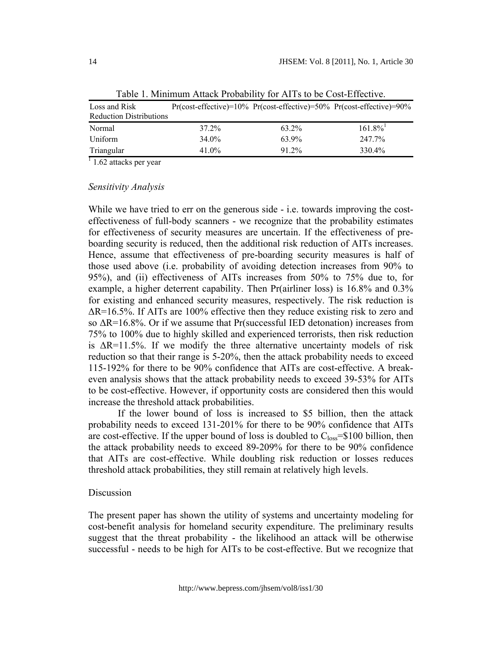| Loss and Risk<br><b>Reduction Distributions</b> |          |       | $Pr(cost\text{-effective})=10\%$ $Pr(cost\text{-effective})=50\%$ $Pr(cost\text{-effective})=90\%$ |  |  |  |
|-------------------------------------------------|----------|-------|----------------------------------------------------------------------------------------------------|--|--|--|
| Normal                                          | 37.2%    | 63.2% | $161.8\%$                                                                                          |  |  |  |
| Uniform                                         | 34.0%    | 63.9% | 247.7%                                                                                             |  |  |  |
| Triangular                                      | $41.0\%$ | 91 2% | 330.4%                                                                                             |  |  |  |

Table 1. Minimum Attack Probability for AITs to be Cost-Effective.

 $\frac{1}{1}$ 1.62 attacks per year

### *Sensitivity Analysis*

While we have tried to err on the generous side - i.e. towards improving the costeffectiveness of full-body scanners - we recognize that the probability estimates for effectiveness of security measures are uncertain. If the effectiveness of preboarding security is reduced, then the additional risk reduction of AITs increases. Hence, assume that effectiveness of pre-boarding security measures is half of those used above (i.e. probability of avoiding detection increases from 90% to 95%), and (ii) effectiveness of AITs increases from 50% to 75% due to, for example, a higher deterrent capability. Then Pr(airliner loss) is 16.8% and 0.3% for existing and enhanced security measures, respectively. The risk reduction is  $\Delta R$ =16.5%. If AITs are 100% effective then they reduce existing risk to zero and so ΔR=16.8%. Or if we assume that Pr(successful IED detonation) increases from 75% to 100% due to highly skilled and experienced terrorists, then risk reduction is  $\Delta R$ =11.5%. If we modify the three alternative uncertainty models of risk reduction so that their range is 5-20%, then the attack probability needs to exceed 115-192% for there to be 90% confidence that AITs are cost-effective. A breakeven analysis shows that the attack probability needs to exceed 39-53% for AITs to be cost-effective. However, if opportunity costs are considered then this would increase the threshold attack probabilities.

If the lower bound of loss is increased to \$5 billion, then the attack probability needs to exceed 131-201% for there to be 90% confidence that AITs are cost-effective. If the upper bound of loss is doubled to  $C_{loss}$ =\$100 billion, then the attack probability needs to exceed 89-209% for there to be 90% confidence that AITs are cost-effective. While doubling risk reduction or losses reduces threshold attack probabilities, they still remain at relatively high levels.

#### Discussion

The present paper has shown the utility of systems and uncertainty modeling for cost-benefit analysis for homeland security expenditure. The preliminary results suggest that the threat probability - the likelihood an attack will be otherwise successful - needs to be high for AITs to be cost-effective. But we recognize that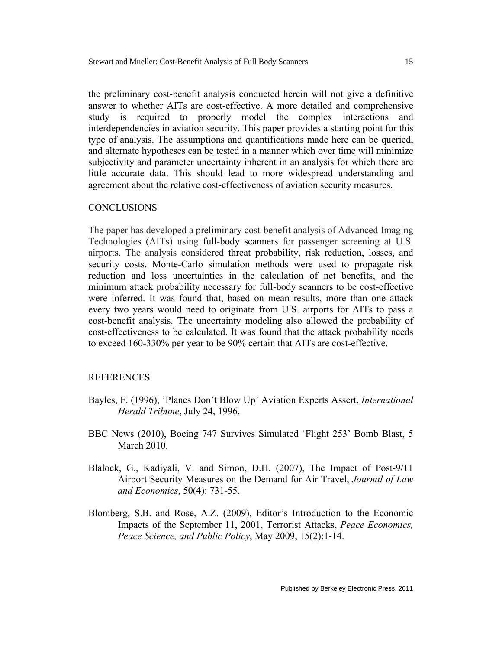the preliminary cost-benefit analysis conducted herein will not give a definitive answer to whether AITs are cost-effective. A more detailed and comprehensive study is required to properly model the complex interactions and interdependencies in aviation security. This paper provides a starting point for this type of analysis. The assumptions and quantifications made here can be queried, and alternate hypotheses can be tested in a manner which over time will minimize subjectivity and parameter uncertainty inherent in an analysis for which there are little accurate data. This should lead to more widespread understanding and agreement about the relative cost-effectiveness of aviation security measures.

#### CONCLUSIONS

The paper has developed a preliminary cost-benefit analysis of Advanced Imaging Technologies (AITs) using full-body scanners for passenger screening at U.S. airports. The analysis considered threat probability, risk reduction, losses, and security costs. Monte-Carlo simulation methods were used to propagate risk reduction and loss uncertainties in the calculation of net benefits, and the minimum attack probability necessary for full-body scanners to be cost-effective were inferred. It was found that, based on mean results, more than one attack every two years would need to originate from U.S. airports for AITs to pass a cost-benefit analysis. The uncertainty modeling also allowed the probability of cost-effectiveness to be calculated. It was found that the attack probability needs to exceed 160-330% per year to be 90% certain that AITs are cost-effective.

#### **REFERENCES**

- Bayles, F. (1996), 'Planes Don't Blow Up' Aviation Experts Assert, *International Herald Tribune*, July 24, 1996.
- BBC News (2010), Boeing 747 Survives Simulated 'Flight 253' Bomb Blast, 5 March 2010.
- Blalock, G., Kadiyali, V. and Simon, D.H. (2007), The Impact of Post-9/11 Airport Security Measures on the Demand for Air Travel, *Journal of Law and Economics*, 50(4): 731-55.
- Blomberg, S.B. and Rose, A.Z. (2009), Editor's Introduction to the Economic Impacts of the September 11, 2001, Terrorist Attacks, *Peace Economics, Peace Science, and Public Policy*, May 2009, 15(2):1-14.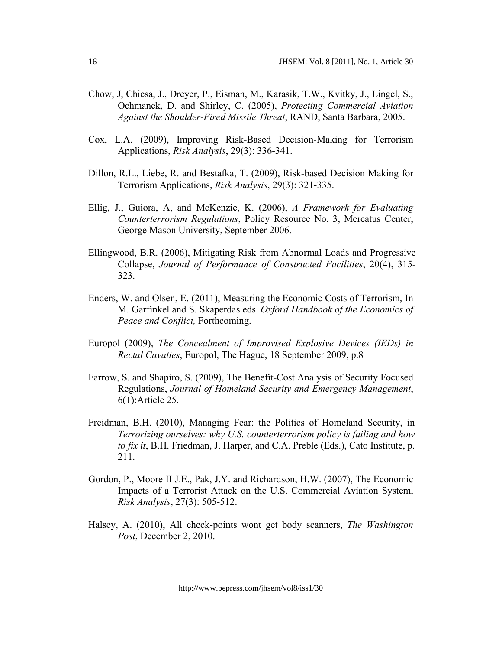- Chow, J, Chiesa, J., Dreyer, P., Eisman, M., Karasik, T.W., Kvitky, J., Lingel, S., Ochmanek, D. and Shirley, C. (2005), *Protecting Commercial Aviation Against the Shoulder-Fired Missile Threat*, RAND, Santa Barbara, 2005.
- Cox, L.A. (2009), Improving Risk-Based Decision-Making for Terrorism Applications, *Risk Analysis*, 29(3): 336-341.
- Dillon, R.L., Liebe, R. and Bestafka, T. (2009), Risk-based Decision Making for Terrorism Applications, *Risk Analysis*, 29(3): 321-335.
- Ellig, J., Guiora, A, and McKenzie, K. (2006), *A Framework for Evaluating Counterterrorism Regulations*, Policy Resource No. 3, Mercatus Center, George Mason University, September 2006.
- Ellingwood, B.R. (2006), Mitigating Risk from Abnormal Loads and Progressive Collapse, *Journal of Performance of Constructed Facilities*, 20(4), 315- 323.
- Enders, W. and Olsen, E. (2011), Measuring the Economic Costs of Terrorism, In M. Garfinkel and S. Skaperdas eds. *Oxford Handbook of the Economics of Peace and Conflict,* Forthcoming.
- Europol (2009), *The Concealment of Improvised Explosive Devices (IEDs) in Rectal Cavaties*, Europol, The Hague, 18 September 2009, p.8
- Farrow, S. and Shapiro, S. (2009), The Benefit-Cost Analysis of Security Focused Regulations, *Journal of Homeland Security and Emergency Management*, 6(1):Article 25.
- Freidman, B.H. (2010), Managing Fear: the Politics of Homeland Security, in *Terrorizing ourselves: why U.S. counterterrorism policy is failing and how to fix it*, B.H. Friedman, J. Harper, and C.A. Preble (Eds.), Cato Institute, p. 211.
- Gordon, P., Moore II J.E., Pak, J.Y. and Richardson, H.W. (2007), The Economic Impacts of a Terrorist Attack on the U.S. Commercial Aviation System, *Risk Analysis*, 27(3): 505-512.
- Halsey, A. (2010), All check-points wont get body scanners, *The Washington Post*, December 2, 2010.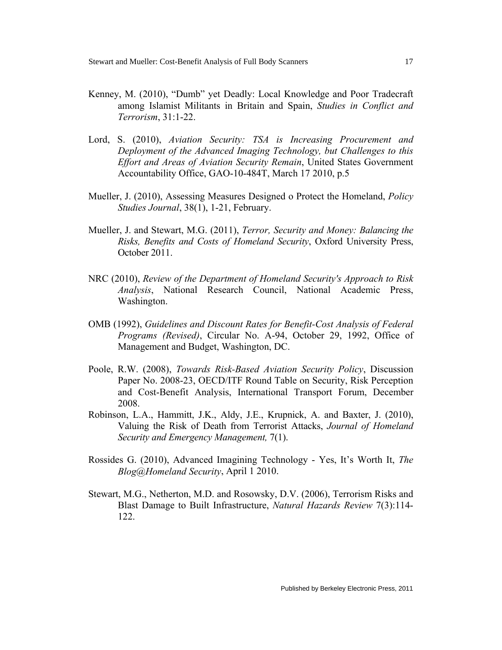- Kenney, M. (2010), "Dumb" yet Deadly: Local Knowledge and Poor Tradecraft among Islamist Militants in Britain and Spain, *Studies in Conflict and Terrorism*, 31:1-22.
- Lord, S. (2010), *Aviation Security: TSA is Increasing Procurement and Deployment of the Advanced Imaging Technology, but Challenges to this Effort and Areas of Aviation Security Remain*, United States Government Accountability Office, GAO-10-484T, March 17 2010, p.5
- Mueller, J. (2010), Assessing Measures Designed o Protect the Homeland, *Policy Studies Journal*, 38(1), 1-21, February.
- Mueller, J. and Stewart, M.G. (2011), *Terror, Security and Money: Balancing the Risks, Benefits and Costs of Homeland Security*, Oxford University Press, October 2011.
- NRC (2010), *Review of the Department of Homeland Security's Approach to Risk Analysis*, National Research Council, National Academic Press, Washington.
- OMB (1992), *Guidelines and Discount Rates for Benefit-Cost Analysis of Federal Programs (Revised)*, Circular No. A-94, October 29, 1992, Office of Management and Budget, Washington, DC.
- Poole, R.W. (2008), *Towards Risk-Based Aviation Security Policy*, Discussion Paper No. 2008-23, OECD/ITF Round Table on Security, Risk Perception and Cost-Benefit Analysis, International Transport Forum, December 2008.
- Robinson, L.A., Hammitt, J.K., Aldy, J.E., Krupnick, A. and Baxter, J. (2010), Valuing the Risk of Death from Terrorist Attacks, *Journal of Homeland Security and Emergency Management,* 7(1).
- Rossides G. (2010), Advanced Imagining Technology Yes, It's Worth It, *The Blog@Homeland Security*, April 1 2010.
- Stewart, M.G., Netherton, M.D. and Rosowsky, D.V. (2006), Terrorism Risks and Blast Damage to Built Infrastructure, *Natural Hazards Review* 7(3):114- 122.